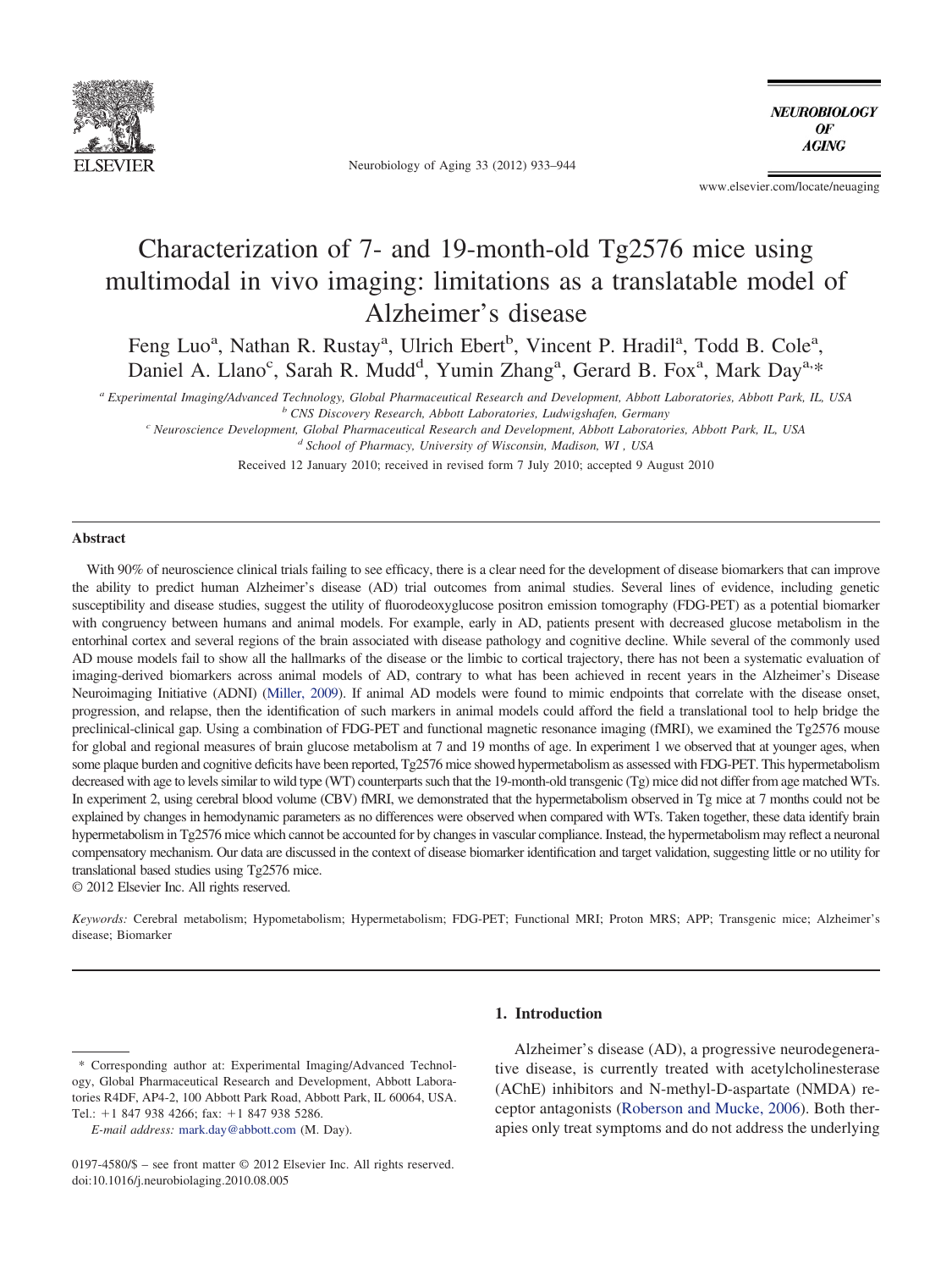

Neurobiology of Aging 33 (2012) 933–944

**NEUROBIOLOGY**  $\theta$ F **AGING** 

www.elsevier.com/locate/neuaging

# Characterization of 7- and 19-month-old Tg2576 mice using multimodal in vivo imaging: limitations as a translatable model of Alzheimer's disease

Feng Luo<sup>a</sup>, Nathan R. Rustay<sup>a</sup>, Ulrich Ebert<sup>b</sup>, Vincent P. Hradil<sup>a</sup>, Todd B. Cole<sup>a</sup>, Daniel A. Llano<sup>c</sup>, Sarah R. Mudd<sup>d</sup>, Yumin Zhang<sup>a</sup>, Gerard B. Fox<sup>a</sup>, Mark Day<sup>a,\*</sup>

*<sup>a</sup> Experimental Imaging/Advanced Technology, Global Pharmaceutical Research and Development, Abbott Laboratories, Abbott Park, IL, USA <sup>b</sup> CNS Discovery Research, Abbott Laboratories, Ludwigshafen, Germany*

*<sup>c</sup> Neuroscience Development, Global Pharmaceutical Research and Development, Abbott Laboratories, Abbott Park, IL, USA*

*<sup>d</sup> School of Pharmacy, University of Wisconsin, Madison, WI , USA*

Received 12 January 2010; received in revised form 7 July 2010; accepted 9 August 2010

# **Abstract**

With 90% of neuroscience clinical trials failing to see efficacy, there is a clear need for the development of disease biomarkers that can improve the ability to predict human Alzheimer's disease (AD) trial outcomes from animal studies. Several lines of evidence, including genetic susceptibility and disease studies, suggest the utility of fluorodeoxyglucose positron emission tomography (FDG-PET) as a potential biomarker with congruency between humans and animal models. For example, early in AD, patients present with decreased glucose metabolism in the entorhinal cortex and several regions of the brain associated with disease pathology and cognitive decline. While several of the commonly used AD mouse models fail to show all the hallmarks of the disease or the limbic to cortical trajectory, there has not been a systematic evaluation of imaging-derived biomarkers across animal models of AD, contrary to what has been achieved in recent years in the Alzheimer's Disease Neuroimaging Initiative (ADNI) [\(Miller, 2009\)](#page-10-0). If animal AD models were found to mimic endpoints that correlate with the disease onset, progression, and relapse, then the identification of such markers in animal models could afford the field a translational tool to help bridge the preclinical-clinical gap. Using a combination of FDG-PET and functional magnetic resonance imaging (fMRI), we examined the Tg2576 mouse for global and regional measures of brain glucose metabolism at 7 and 19 months of age. In experiment 1 we observed that at younger ages, when some plaque burden and cognitive deficits have been reported, Tg2576 mice showed hypermetabolism as assessed with FDG-PET. This hypermetabolism decreased with age to levels similar to wild type (WT) counterparts such that the 19-month-old transgenic (Tg) mice did not differ from age matched WTs. In experiment 2, using cerebral blood volume (CBV) fMRI, we demonstrated that the hypermetabolism observed in Tg mice at 7 months could not be explained by changes in hemodynamic parameters as no differences were observed when compared with WTs. Taken together, these data identify brain hypermetabolism in Tg2576 mice which cannot be accounted for by changes in vascular compliance. Instead, the hypermetabolism may reflect a neuronal compensatory mechanism. Our data are discussed in the context of disease biomarker identification and target validation, suggesting little or no utility for translational based studies using Tg2576 mice.

© 2012 Elsevier Inc. All rights reserved.

*Keywords:* Cerebral metabolism; Hypometabolism; Hypermetabolism; FDG-PET; Functional MRI; Proton MRS; APP; Transgenic mice; Alzheimer's disease; Biomarker

# **1. Introduction**

Alzheimer's disease (AD), a progressive neurodegenerative disease, is currently treated with acetylcholinesterase (AChE) inhibitors and N-methyl-D-aspartate (NMDA) receptor antagonists [\(Roberson and Mucke, 2006\)](#page-10-1). Both therapies only treat symptoms and do not address the underlying

<sup>\*</sup> Corresponding author at: Experimental Imaging/Advanced Technology, Global Pharmaceutical Research and Development, Abbott Laboratories R4DF, AP4-2, 100 Abbott Park Road, Abbott Park, IL 60064, USA. Tel.:  $+1$  847 938 4266; fax:  $+1$  847 938 5286.

*E-mail address:* [mark.day@abbott.com](mailto:mark.day@abbott.com) (M. Day).

<sup>0197-4580/\$ –</sup> see front matter © 2012 Elsevier Inc. All rights reserved. doi:10.1016/j.neurobiolaging.2010.08.005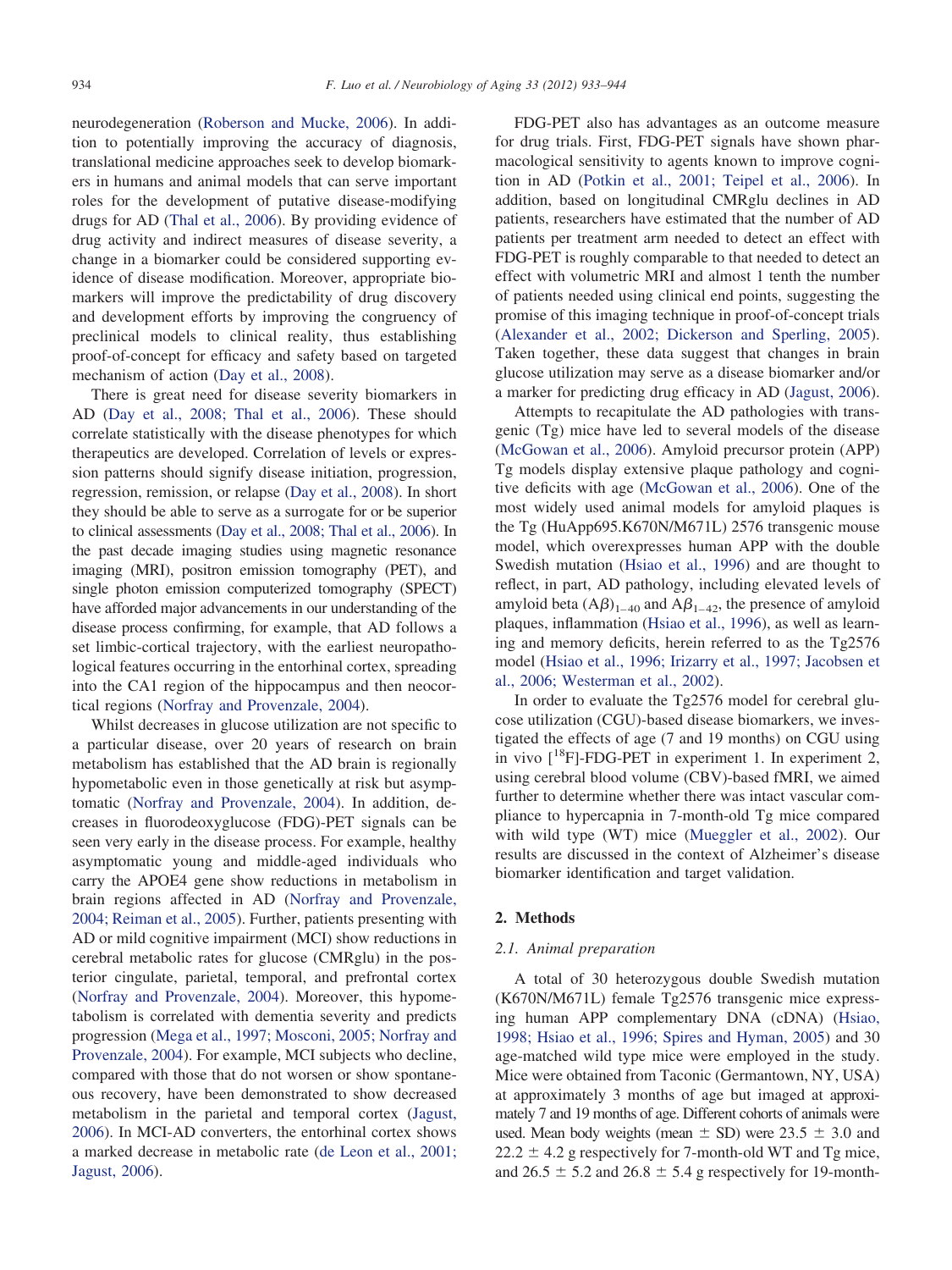neurodegeneration [\(Roberson and Mucke, 2006\)](#page-10-1). In addition to potentially improving the accuracy of diagnosis, translational medicine approaches seek to develop biomarkers in humans and animal models that can serve important roles for the development of putative disease-modifying drugs for AD [\(Thal et al., 2006\)](#page-11-0). By providing evidence of drug activity and indirect measures of disease severity, a change in a biomarker could be considered supporting evidence of disease modification. Moreover, appropriate biomarkers will improve the predictability of drug discovery and development efforts by improving the congruency of preclinical models to clinical reality, thus establishing proof-of-concept for efficacy and safety based on targeted mechanism of action [\(Day et al., 2008\)](#page-9-0).

There is great need for disease severity biomarkers in AD [\(Day et al., 2008; Thal et al., 2006\)](#page-9-0). These should correlate statistically with the disease phenotypes for which therapeutics are developed. Correlation of levels or expression patterns should signify disease initiation, progression, regression, remission, or relapse [\(Day et al., 2008\)](#page-9-0). In short they should be able to serve as a surrogate for or be superior to clinical assessments [\(Day et al., 2008; Thal et al., 2006\)](#page-9-0). In the past decade imaging studies using magnetic resonance imaging (MRI), positron emission tomography (PET), and single photon emission computerized tomography (SPECT) have afforded major advancements in our understanding of the disease process confirming, for example, that AD follows a set limbic-cortical trajectory, with the earliest neuropathological features occurring in the entorhinal cortex, spreading into the CA1 region of the hippocampus and then neocortical regions [\(Norfray and Provenzale, 2004\)](#page-10-2).

Whilst decreases in glucose utilization are not specific to a particular disease, over 20 years of research on brain metabolism has established that the AD brain is regionally hypometabolic even in those genetically at risk but asymptomatic [\(Norfray and Provenzale, 2004\)](#page-10-2). In addition, decreases in fluorodeoxyglucose (FDG)-PET signals can be seen very early in the disease process. For example, healthy asymptomatic young and middle-aged individuals who carry the APOE4 gene show reductions in metabolism in brain regions affected in AD [\(Norfray and Provenzale,](#page-10-2) [2004; Reiman et al., 2005\)](#page-10-2). Further, patients presenting with AD or mild cognitive impairment (MCI) show reductions in cerebral metabolic rates for glucose (CMRglu) in the posterior cingulate, parietal, temporal, and prefrontal cortex [\(Norfray and Provenzale, 2004\)](#page-10-2). Moreover, this hypometabolism is correlated with dementia severity and predicts progression [\(Mega et al., 1997; Mosconi, 2005; Norfray and](#page-10-3) [Provenzale, 2004\)](#page-10-3). For example, MCI subjects who decline, compared with those that do not worsen or show spontaneous recovery, have been demonstrated to show decreased metabolism in the parietal and temporal cortex [\(Jagust,](#page-9-1) [2006\)](#page-9-1). In MCI-AD converters, the entorhinal cortex shows a marked decrease in metabolic rate [\(de Leon et al., 2001;](#page-9-2) [Jagust, 2006\)](#page-9-2).

FDG-PET also has advantages as an outcome measure for drug trials. First, FDG-PET signals have shown pharmacological sensitivity to agents known to improve cognition in AD [\(Potkin et al., 2001; Teipel et al., 2006\)](#page-10-4). In addition, based on longitudinal CMRglu declines in AD patients, researchers have estimated that the number of AD patients per treatment arm needed to detect an effect with FDG-PET is roughly comparable to that needed to detect an effect with volumetric MRI and almost 1 tenth the number of patients needed using clinical end points, suggesting the promise of this imaging technique in proof-of-concept trials [\(Alexander et al., 2002; Dickerson and Sperling, 2005\)](#page-9-3). Taken together, these data suggest that changes in brain glucose utilization may serve as a disease biomarker and/or a marker for predicting drug efficacy in AD [\(Jagust, 2006\)](#page-9-1).

Attempts to recapitulate the AD pathologies with transgenic (Tg) mice have led to several models of the disease [\(McGowan et al., 2006\)](#page-10-5). Amyloid precursor protein (APP) Tg models display extensive plaque pathology and cognitive deficits with age [\(McGowan et al., 2006\)](#page-10-5). One of the most widely used animal models for amyloid plaques is the Tg (HuApp695.K670N/M671L) 2576 transgenic mouse model, which overexpresses human APP with the double Swedish mutation [\(Hsiao et al., 1996\)](#page-9-4) and are thought to reflect, in part, AD pathology, including elevated levels of amyloid beta  $(A\beta)_{1-40}$  and  $A\beta_{1-42}$ , the presence of amyloid plaques, inflammation [\(Hsiao et al., 1996\)](#page-9-4), as well as learning and memory deficits, herein referred to as the Tg2576 model [\(Hsiao et al., 1996; Irizarry et al., 1997; Jacobsen et](#page-9-4) [al., 2006; Westerman et al., 2002\)](#page-9-4).

In order to evaluate the Tg2576 model for cerebral glucose utilization (CGU)-based disease biomarkers, we investigated the effects of age (7 and 19 months) on CGU using in vivo  $[{}^{18}F]$ -FDG-PET in experiment 1. In experiment 2, using cerebral blood volume (CBV)-based fMRI, we aimed further to determine whether there was intact vascular compliance to hypercapnia in 7-month-old Tg mice compared with wild type (WT) mice [\(Mueggler et al., 2002\)](#page-10-6). Our results are discussed in the context of Alzheimer's disease biomarker identification and target validation.

# **2. Methods**

#### *2.1. Animal preparation*

A total of 30 heterozygous double Swedish mutation (K670N/M671L) female Tg2576 transgenic mice expressing human APP complementary DNA (cDNA) [\(Hsiao,](#page-9-5) [1998; Hsiao et al., 1996; Spires and Hyman, 2005\)](#page-9-5) and 30 age-matched wild type mice were employed in the study. Mice were obtained from Taconic (Germantown, NY, USA) at approximately 3 months of age but imaged at approximately 7 and 19 months of age. Different cohorts of animals were used. Mean body weights (mean  $\pm$  SD) were 23.5  $\pm$  3.0 and  $22.2 \pm 4.2$  g respectively for 7-month-old WT and Tg mice, and  $26.5 \pm 5.2$  and  $26.8 \pm 5.4$  g respectively for 19-month-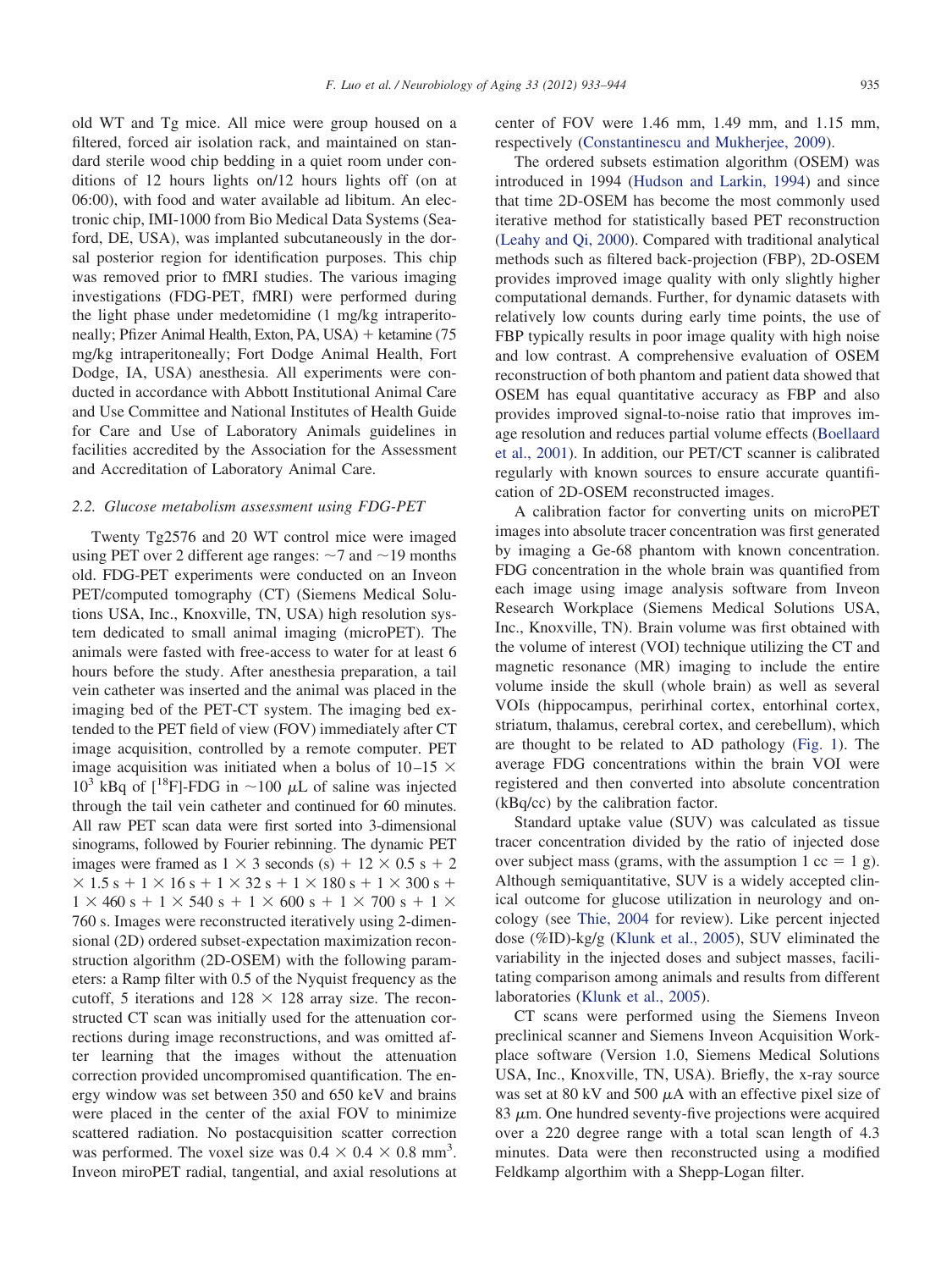old WT and Tg mice. All mice were group housed on a filtered, forced air isolation rack, and maintained on standard sterile wood chip bedding in a quiet room under conditions of 12 hours lights on/12 hours lights off (on at 06:00), with food and water available ad libitum. An electronic chip, IMI-1000 from Bio Medical Data Systems (Seaford, DE, USA), was implanted subcutaneously in the dorsal posterior region for identification purposes. This chip was removed prior to fMRI studies. The various imaging investigations (FDG-PET, fMRI) were performed during the light phase under medetomidine (1 mg/kg intraperitoneally; Pfizer Animal Health, Exton, PA, USA) + ketamine (75 mg/kg intraperitoneally; Fort Dodge Animal Health, Fort Dodge, IA, USA) anesthesia. All experiments were conducted in accordance with Abbott Institutional Animal Care and Use Committee and National Institutes of Health Guide for Care and Use of Laboratory Animals guidelines in facilities accredited by the Association for the Assessment and Accreditation of Laboratory Animal Care.

#### *2.2. Glucose metabolism assessment using FDG-PET*

Twenty Tg2576 and 20 WT control mice were imaged using PET over 2 different age ranges:  $\sim$ 7 and  $\sim$ 19 months old. FDG-PET experiments were conducted on an Inveon PET/computed tomography (CT) (Siemens Medical Solutions USA, Inc., Knoxville, TN, USA) high resolution system dedicated to small animal imaging (microPET). The animals were fasted with free-access to water for at least 6 hours before the study. After anesthesia preparation, a tail vein catheter was inserted and the animal was placed in the imaging bed of the PET-CT system. The imaging bed extended to the PET field of view (FOV) immediately after CT image acquisition, controlled by a remote computer. PET image acquisition was initiated when a bolus of 10–15  $\times$  $10^3$  kBq of [<sup>18</sup>F]-FDG in ~100  $\mu$ L of saline was injected through the tail vein catheter and continued for 60 minutes. All raw PET scan data were first sorted into 3-dimensional sinograms, followed by Fourier rebinning. The dynamic PET images were framed as  $1 \times 3$  seconds (s) +  $12 \times 0.5$  s + 2  $\times$  1.5 s + 1  $\times$  16 s + 1  $\times$  32 s + 1  $\times$  180 s + 1  $\times$  300 s +  $1 \times 460$  s +  $1 \times 540$  s +  $1 \times 600$  s +  $1 \times 700$  s +  $1 \times$ 760 s. Images were reconstructed iteratively using 2-dimensional (2D) ordered subset-expectation maximization reconstruction algorithm (2D-OSEM) with the following parameters: a Ramp filter with 0.5 of the Nyquist frequency as the cutoff, 5 iterations and  $128 \times 128$  array size. The reconstructed CT scan was initially used for the attenuation corrections during image reconstructions, and was omitted after learning that the images without the attenuation correction provided uncompromised quantification. The energy window was set between 350 and 650 keV and brains were placed in the center of the axial FOV to minimize scattered radiation. No postacquisition scatter correction was performed. The voxel size was  $0.4 \times 0.4 \times 0.8$  mm<sup>3</sup>. Inveon miroPET radial, tangential, and axial resolutions at center of FOV were 1.46 mm, 1.49 mm, and 1.15 mm, respectively [\(Constantinescu and Mukherjee, 2009\)](#page-9-6).

The ordered subsets estimation algorithm (OSEM) was introduced in 1994 [\(Hudson and Larkin, 1994\)](#page-9-7) and since that time 2D-OSEM has become the most commonly used iterative method for statistically based PET reconstruction [\(Leahy and Qi, 2000\)](#page-10-7). Compared with traditional analytical methods such as filtered back-projection (FBP), 2D-OSEM provides improved image quality with only slightly higher computational demands. Further, for dynamic datasets with relatively low counts during early time points, the use of FBP typically results in poor image quality with high noise and low contrast. A comprehensive evaluation of OSEM reconstruction of both phantom and patient data showed that OSEM has equal quantitative accuracy as FBP and also provides improved signal-to-noise ratio that improves image resolution and reduces partial volume effects [\(Boellaard](#page-9-8) [et al., 2001\)](#page-9-8). In addition, our PET/CT scanner is calibrated regularly with known sources to ensure accurate quantification of 2D-OSEM reconstructed images.

A calibration factor for converting units on microPET images into absolute tracer concentration was first generated by imaging a Ge-68 phantom with known concentration. FDG concentration in the whole brain was quantified from each image using image analysis software from Inveon Research Workplace (Siemens Medical Solutions USA, Inc., Knoxville, TN). Brain volume was first obtained with the volume of interest (VOI) technique utilizing the CT and magnetic resonance (MR) imaging to include the entire volume inside the skull (whole brain) as well as several VOIs (hippocampus, perirhinal cortex, entorhinal cortex, striatum, thalamus, cerebral cortex, and cerebellum), which are thought to be related to AD pathology [\(Fig. 1\)](#page-3-0). The average FDG concentrations within the brain VOI were registered and then converted into absolute concentration (kBq/cc) by the calibration factor.

Standard uptake value (SUV) was calculated as tissue tracer concentration divided by the ratio of injected dose over subject mass (grams, with the assumption  $1 \text{ cc} = 1 \text{ g}$ ). Although semiquantitative, SUV is a widely accepted clinical outcome for glucose utilization in neurology and oncology (see [Thie, 2004](#page-11-1) for review). Like percent injected dose (%ID)-kg/g [\(Klunk et al., 2005\)](#page-9-9), SUV eliminated the variability in the injected doses and subject masses, facilitating comparison among animals and results from different laboratories [\(Klunk et al., 2005\)](#page-9-9).

CT scans were performed using the Siemens Inveon preclinical scanner and Siemens Inveon Acquisition Workplace software (Version 1.0, Siemens Medical Solutions USA, Inc., Knoxville, TN, USA). Briefly, the x-ray source was set at 80 kV and 500  $\mu$ A with an effective pixel size of  $83 \mu$ m. One hundred seventy-five projections were acquired over a 220 degree range with a total scan length of 4.3 minutes. Data were then reconstructed using a modified Feldkamp algorthim with a Shepp-Logan filter.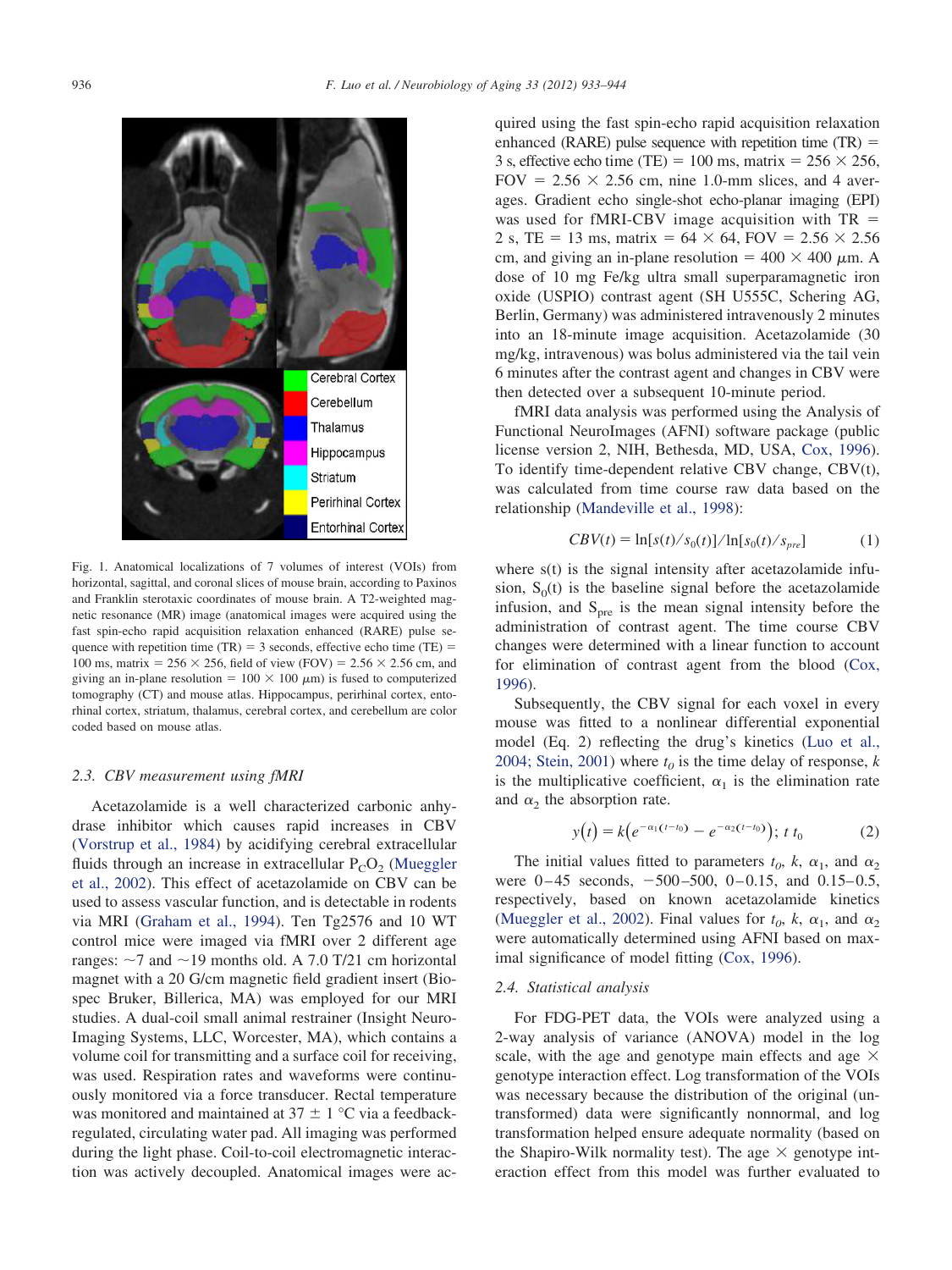

<span id="page-3-0"></span>Fig. 1. Anatomical localizations of 7 volumes of interest (VOIs) from horizontal, sagittal, and coronal slices of mouse brain, according to Paxinos and Franklin sterotaxic coordinates of mouse brain. A T2-weighted magnetic resonance (MR) image (anatomical images were acquired using the fast spin-echo rapid acquisition relaxation enhanced (RARE) pulse sequence with repetition time (TR)  $=$  3 seconds, effective echo time (TE)  $=$ 100 ms, matrix =  $256 \times 256$ , field of view (FOV) =  $2.56 \times 2.56$  cm, and giving an in-plane resolution =  $100 \times 100 \mu$ m) is fused to computerized tomography (CT) and mouse atlas. Hippocampus, perirhinal cortex, entorhinal cortex, striatum, thalamus, cerebral cortex, and cerebellum are color coded based on mouse atlas.

#### *2.3. CBV measurement using fMRI*

Acetazolamide is a well characterized carbonic anhydrase inhibitor which causes rapid increases in CBV [\(Vorstrup et al., 1984\)](#page-11-2) by acidifying cerebral extracellular fluids through an increase in extracellular  $P_{C}O_{2}$  [\(Mueggler](#page-10-6) [et al., 2002\)](#page-10-6). This effect of acetazolamide on CBV can be used to assess vascular function, and is detectable in rodents via MRI [\(Graham et al., 1994\)](#page-9-10). Ten Tg2576 and 10 WT control mice were imaged via fMRI over 2 different age ranges:  $\sim$ 7 and  $\sim$ 19 months old. A 7.0 T/21 cm horizontal magnet with a 20 G/cm magnetic field gradient insert (Biospec Bruker, Billerica, MA) was employed for our MRI studies. A dual-coil small animal restrainer (Insight Neuro-Imaging Systems, LLC, Worcester, MA), which contains a volume coil for transmitting and a surface coil for receiving, was used. Respiration rates and waveforms were continuously monitored via a force transducer. Rectal temperature was monitored and maintained at  $37 \pm 1$  °C via a feedbackregulated, circulating water pad. All imaging was performed during the light phase. Coil-to-coil electromagnetic interaction was actively decoupled. Anatomical images were acquired using the fast spin-echo rapid acquisition relaxation enhanced (RARE) pulse sequence with repetition time  $(TR)$  = 3 s, effective echo time (TE) = 100 ms, matrix =  $256 \times 256$ , FOV =  $2.56 \times 2.56$  cm, nine 1.0-mm slices, and 4 averages. Gradient echo single-shot echo-planar imaging (EPI) was used for fMRI-CBV image acquisition with TR 2 s, TE = 13 ms, matrix =  $64 \times 64$ , FOV =  $2.56 \times 2.56$ cm, and giving an in-plane resolution =  $400 \times 400 \mu$ m. A dose of 10 mg Fe/kg ultra small superparamagnetic iron oxide (USPIO) contrast agent (SH U555C, Schering AG, Berlin, Germany) was administered intravenously 2 minutes into an 18-minute image acquisition. Acetazolamide (30 mg/kg, intravenous) was bolus administered via the tail vein 6 minutes after the contrast agent and changes in CBV were then detected over a subsequent 10-minute period.

fMRI data analysis was performed using the Analysis of Functional NeuroImages (AFNI) software package (public license version 2, NIH, Bethesda, MD, USA, [Cox, 1996\)](#page-9-11). To identify time-dependent relative CBV change, CBV(t), was calculated from time course raw data based on the relationship [\(Mandeville et al., 1998\)](#page-10-8):

$$
CBV(t) = \ln[s(t)/s_0(t)]/\ln[s_0(t)/s_{pre}]
$$
 (1)

where s(t) is the signal intensity after acetazolamide infusion,  $S<sub>0</sub>(t)$  is the baseline signal before the acetazolamide infusion, and  $S_{\text{pre}}$  is the mean signal intensity before the administration of contrast agent. The time course CBV changes were determined with a linear function to account for elimination of contrast agent from the blood [\(Cox,](#page-9-11) [1996\)](#page-9-11).

Subsequently, the CBV signal for each voxel in every mouse was fitted to a nonlinear differential exponential model (Eq. 2) reflecting the drug's kinetics [\(Luo et al.,](#page-10-9) [2004; Stein, 2001\)](#page-10-9) where  $t_0$  is the time delay of response, *k* is the multiplicative coefficient,  $\alpha_1$  is the elimination rate and  $\alpha_2$  the absorption rate.

$$
y(t) = k(e^{-\alpha_1(t-t_0)} - e^{-\alpha_2(t-t_0)}); \ t t_0 \tag{2}
$$

The initial values fitted to parameters  $t_0$ ,  $k$ ,  $\alpha_1$ , and  $\alpha_2$ were  $0-45$  seconds,  $-500-500$ ,  $0-0.15$ , and  $0.15-0.5$ , respectively, based on known acetazolamide kinetics [\(Mueggler et al., 2002\)](#page-10-6). Final values for  $t_0$ ,  $k$ ,  $\alpha_1$ , and  $\alpha_2$ were automatically determined using AFNI based on maximal significance of model fitting [\(Cox, 1996\)](#page-9-11).

#### *2.4. Statistical analysis*

For FDG-PET data, the VOIs were analyzed using a 2-way analysis of variance (ANOVA) model in the log scale, with the age and genotype main effects and age  $\times$ genotype interaction effect. Log transformation of the VOIs was necessary because the distribution of the original (untransformed) data were significantly nonnormal, and log transformation helped ensure adequate normality (based on the Shapiro-Wilk normality test). The age  $\times$  genotype interaction effect from this model was further evaluated to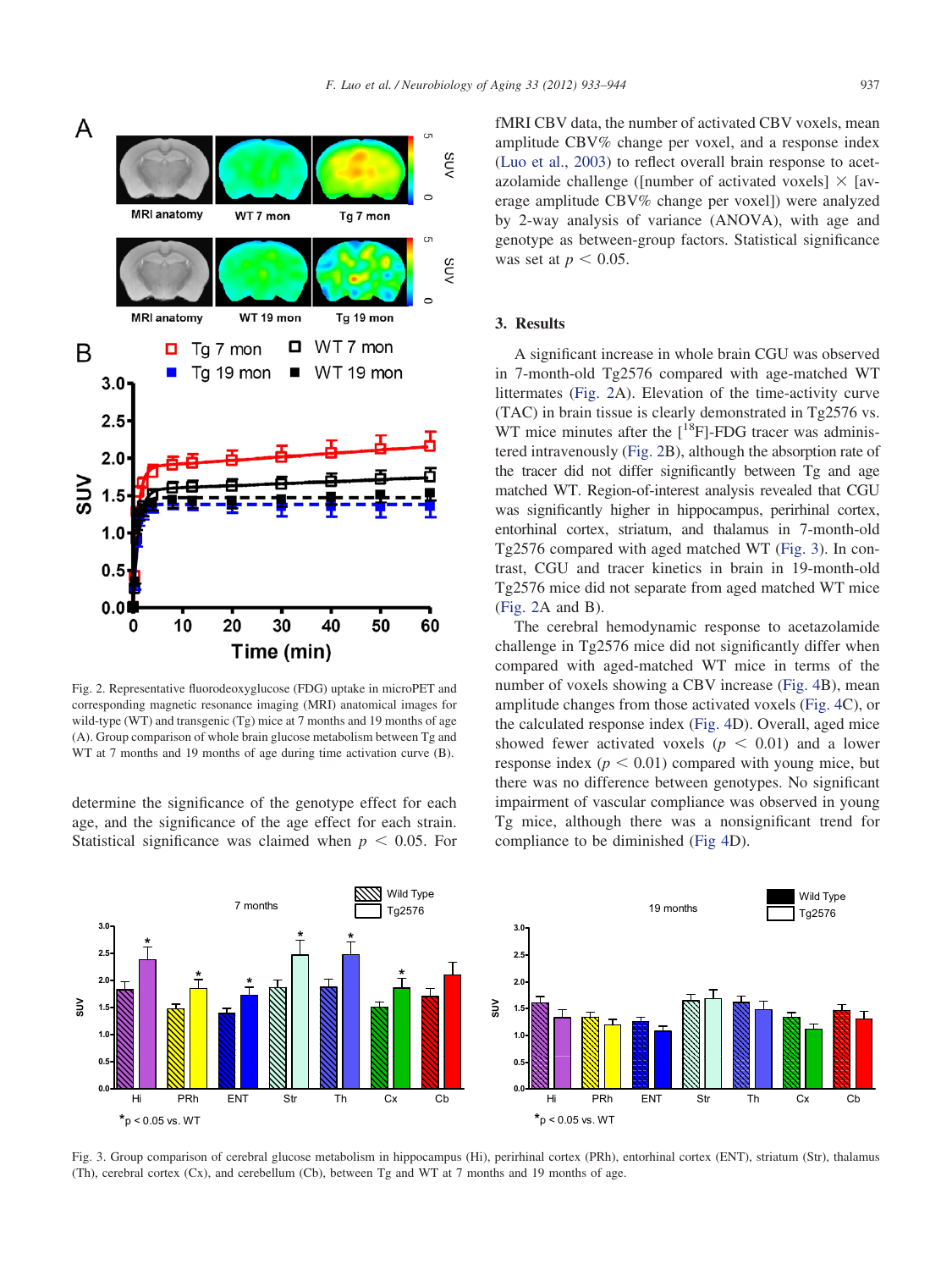

<span id="page-4-0"></span>Fig. 2. Representative fluorodeoxyglucose (FDG) uptake in microPET and corresponding magnetic resonance imaging (MRI) anatomical images for wild-type (WT) and transgenic (Tg) mice at 7 months and 19 months of age (A). Group comparison of whole brain glucose metabolism between Tg and WT at 7 months and 19 months of age during time activation curve  $(B)$ .

determine the significance of the genotype effect for each age, and the significance of the age effect for each strain. Statistical significance was claimed when  $p < 0.05$ . For fMRI CBV data, the number of activated CBV voxels, mean amplitude CBV% change per voxel, and a response index [\(Luo et al., 2003\)](#page-10-10) to reflect overall brain response to acetazolamide challenge ([number of activated voxels]  $\times$  [average amplitude CBV% change per voxel]) were analyzed by 2-way analysis of variance (ANOVA), with age and genotype as between-group factors. Statistical significance was set at  $p < 0.05$ .

# **3. Results**

A significant increase in whole brain CGU was observed in 7-month-old Tg2576 compared with age-matched WT littermates [\(Fig. 2A](#page-4-0)). Elevation of the time-activity curve (TAC) in brain tissue is clearly demonstrated in Tg2576 vs. WT mice minutes after the  $[$ <sup>18</sup>F]-FDG tracer was administered intravenously [\(Fig. 2B](#page-4-0)), although the absorption rate of the tracer did not differ significantly between Tg and age matched WT. Region-of-interest analysis revealed that CGU was significantly higher in hippocampus, perirhinal cortex, entorhinal cortex, striatum, and thalamus in 7-month-old Tg2576 compared with aged matched WT [\(Fig. 3\)](#page-4-1). In contrast, CGU and tracer kinetics in brain in 19-month-old Tg2576 mice did not separate from aged matched WT mice [\(Fig. 2A](#page-4-0) and B).

The cerebral hemodynamic response to acetazolamide challenge in Tg2576 mice did not significantly differ when compared with aged-matched WT mice in terms of the number of voxels showing a CBV increase [\(Fig. 4B](#page-5-0)), mean amplitude changes from those activated voxels [\(Fig. 4C](#page-5-0)), or the calculated response index [\(Fig. 4D](#page-5-0)). Overall, aged mice showed fewer activated voxels ( $p < 0.01$ ) and a lower response index  $(p < 0.01)$  compared with young mice, but there was no difference between genotypes. No significant impairment of vascular compliance was observed in young Tg mice, although there was a nonsignificant trend for compliance to be diminished [\(Fig 4D](#page-5-0)).



<span id="page-4-1"></span>Fig. 3. Group comparison of cerebral glucose metabolism in hippocampus (Hi), perirhinal cortex (PRh), entorhinal cortex (ENT), striatum (Str), thalamus (Th), cerebral cortex (Cx), and cerebellum (Cb), between Tg and WT at 7 months and 19 months of age.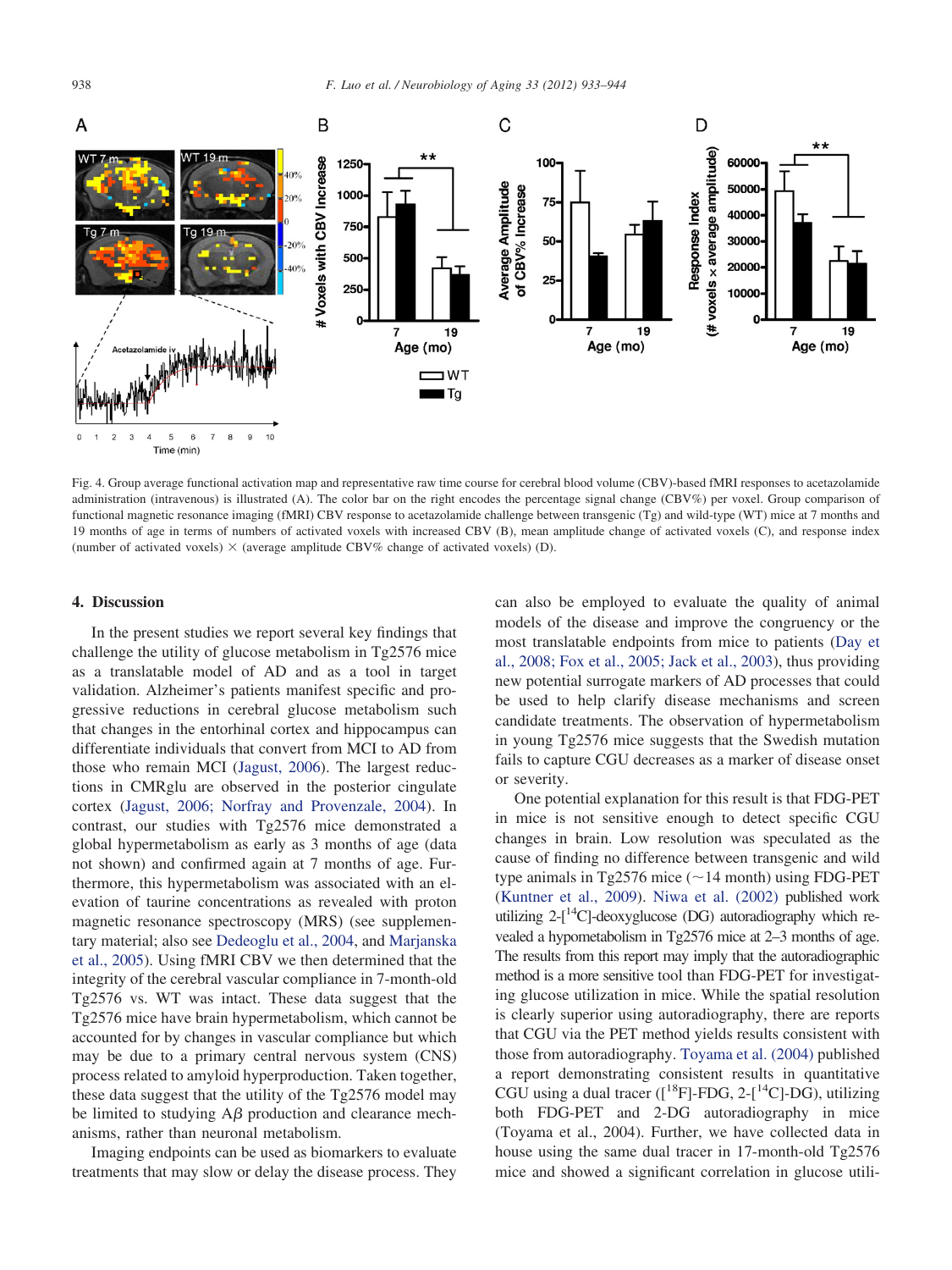

<span id="page-5-0"></span>Fig. 4. Group average functional activation map and representative raw time course for cerebral blood volume (CBV)-based fMRI responses to acetazolamide administration (intravenous) is illustrated (A). The color bar on the right encodes the percentage signal change (CBV%) per voxel. Group comparison of functional magnetic resonance imaging (fMRI) CBV response to acetazolamide challenge between transgenic (Tg) and wild-type (WT) mice at 7 months and 19 months of age in terms of numbers of activated voxels with increased CBV (B), mean amplitude change of activated voxels (C), and response index (number of activated voxels)  $\times$  (average amplitude CBV% change of activated voxels) (D).

#### **4. Discussion**

In the present studies we report several key findings that challenge the utility of glucose metabolism in Tg2576 mice as a translatable model of AD and as a tool in target validation. Alzheimer's patients manifest specific and progressive reductions in cerebral glucose metabolism such that changes in the entorhinal cortex and hippocampus can differentiate individuals that convert from MCI to AD from those who remain MCI [\(Jagust, 2006\)](#page-9-1). The largest reductions in CMRglu are observed in the posterior cingulate cortex [\(Jagust, 2006; Norfray and Provenzale, 2004\)](#page-9-1). In contrast, our studies with Tg2576 mice demonstrated a global hypermetabolism as early as 3 months of age (data not shown) and confirmed again at 7 months of age. Furthermore, this hypermetabolism was associated with an elevation of taurine concentrations as revealed with proton magnetic resonance spectroscopy (MRS) (see supplementary material; also see [Dedeoglu et al., 2004,](#page-9-12) and [Marjanska](#page-10-11) [et al., 2005\)](#page-10-11). Using fMRI CBV we then determined that the integrity of the cerebral vascular compliance in 7-month-old Tg2576 vs. WT was intact. These data suggest that the Tg2576 mice have brain hypermetabolism, which cannot be accounted for by changes in vascular compliance but which may be due to a primary central nervous system (CNS) process related to amyloid hyperproduction. Taken together, these data suggest that the utility of the Tg2576 model may be limited to studying  $A\beta$  production and clearance mechanisms, rather than neuronal metabolism.

Imaging endpoints can be used as biomarkers to evaluate treatments that may slow or delay the disease process. They

can also be employed to evaluate the quality of animal models of the disease and improve the congruency or the most translatable endpoints from mice to patients [\(Day et](#page-9-0) [al., 2008; Fox et al., 2005; Jack et al., 2003\)](#page-9-0), thus providing new potential surrogate markers of AD processes that could be used to help clarify disease mechanisms and screen candidate treatments. The observation of hypermetabolism in young Tg2576 mice suggests that the Swedish mutation fails to capture CGU decreases as a marker of disease onset or severity.

One potential explanation for this result is that FDG-PET in mice is not sensitive enough to detect specific CGU changes in brain. Low resolution was speculated as the cause of finding no difference between transgenic and wild type animals in Tg2576 mice  $(\sim)$ 14 month) using FDG-PET [\(Kuntner et al., 2009\)](#page-10-12). [Niwa et al. \(2002\)](#page-10-13) published work utilizing  $2-[$ <sup>14</sup>C]-deoxyglucose (DG) autoradiography which revealed a hypometabolism in Tg2576 mice at 2–3 months of age. The results from this report may imply that the autoradiographic method is a more sensitive tool than FDG-PET for investigating glucose utilization in mice. While the spatial resolution is clearly superior using autoradiography, there are reports that CGU via the PET method yields results consistent with those from autoradiography. [Toyama et al. \(2004\)](#page-11-3) published a report demonstrating consistent results in quantitative CGU using a dual tracer  $([^{18}F]-FDG, 2-[^{14}C]-DG)$ , utilizing both FDG-PET and 2-DG autoradiography in mice (Toyama et al., 2004). Further, we have collected data in house using the same dual tracer in 17-month-old Tg2576 mice and showed a significant correlation in glucose utili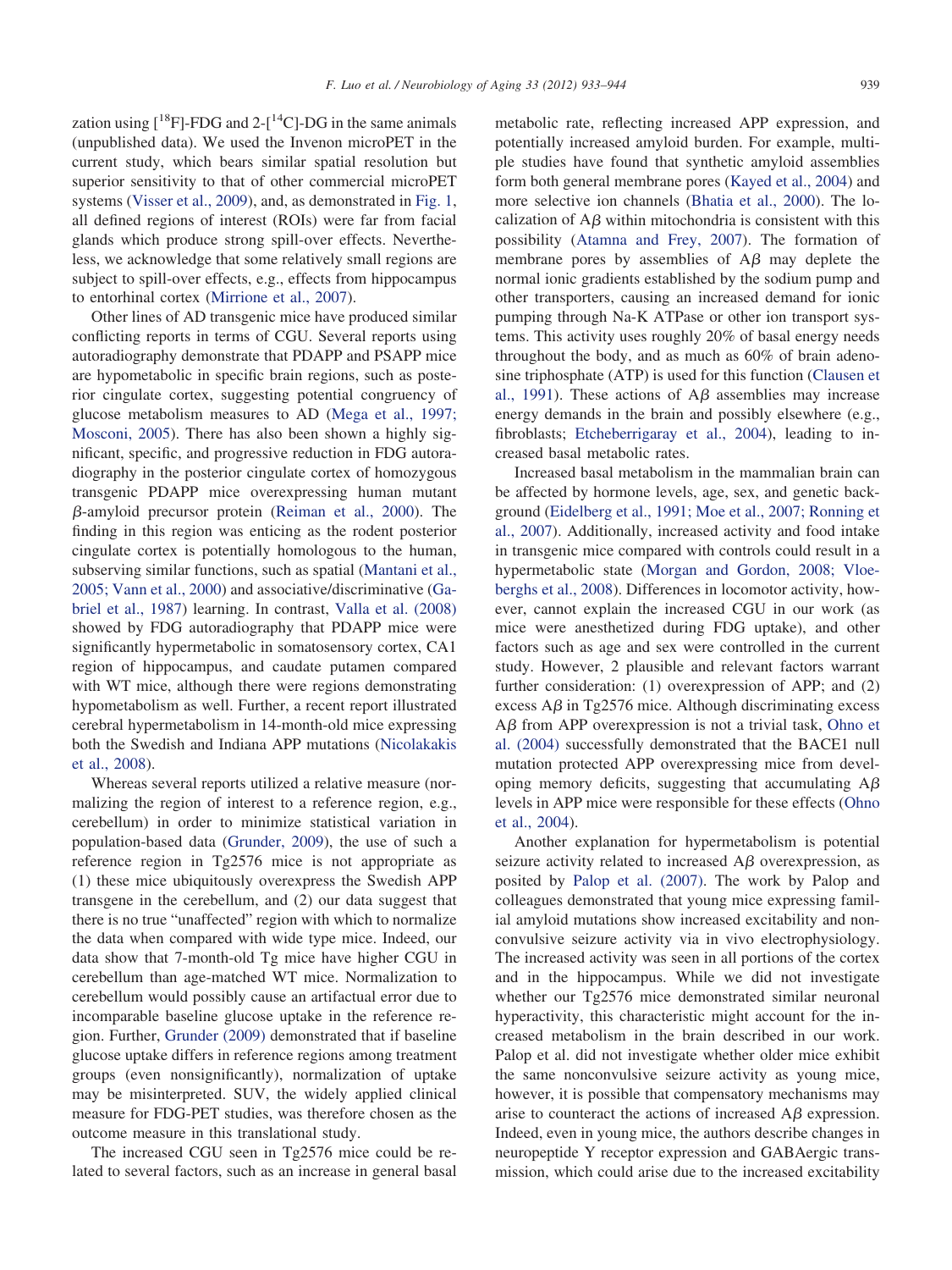zation using  $[^{18}F]$ -FDG and 2- $[^{14}C]$ -DG in the same animals (unpublished data). We used the Invenon microPET in the current study, which bears similar spatial resolution but superior sensitivity to that of other commercial microPET systems [\(Visser et al., 2009\)](#page-11-4), and, as demonstrated in [Fig. 1,](#page-3-0) all defined regions of interest (ROIs) were far from facial glands which produce strong spill-over effects. Nevertheless, we acknowledge that some relatively small regions are subject to spill-over effects, e.g., effects from hippocampus to entorhinal cortex [\(Mirrione et al., 2007\)](#page-10-14).

Other lines of AD transgenic mice have produced similar conflicting reports in terms of CGU. Several reports using autoradiography demonstrate that PDAPP and PSAPP mice are hypometabolic in specific brain regions, such as posterior cingulate cortex, suggesting potential congruency of glucose metabolism measures to AD [\(Mega et al., 1997;](#page-10-3) [Mosconi, 2005\)](#page-10-3). There has also been shown a highly significant, specific, and progressive reduction in FDG autoradiography in the posterior cingulate cortex of homozygous transgenic PDAPP mice overexpressing human mutant  $\beta$ -amyloid precursor protein [\(Reiman et al., 2000\)](#page-10-15). The finding in this region was enticing as the rodent posterior cingulate cortex is potentially homologous to the human, subserving similar functions, such as spatial [\(Mantani et al.,](#page-10-16) [2005; Vann et al., 2000\)](#page-10-16) and associative/discriminative [\(Ga](#page-9-13)[briel et al., 1987\)](#page-9-13) learning. In contrast, [Valla et al. \(2008\)](#page-11-5) showed by FDG autoradiography that PDAPP mice were significantly hypermetabolic in somatosensory cortex, CA1 region of hippocampus, and caudate putamen compared with WT mice, although there were regions demonstrating hypometabolism as well. Further, a recent report illustrated cerebral hypermetabolism in 14-month-old mice expressing both the Swedish and Indiana APP mutations [\(Nicolakakis](#page-10-17) [et al., 2008\)](#page-10-17).

Whereas several reports utilized a relative measure (normalizing the region of interest to a reference region, e.g., cerebellum) in order to minimize statistical variation in population-based data [\(Grunder, 2009\)](#page-9-14), the use of such a reference region in Tg2576 mice is not appropriate as (1) these mice ubiquitously overexpress the Swedish APP transgene in the cerebellum, and (2) our data suggest that there is no true "unaffected" region with which to normalize the data when compared with wide type mice. Indeed, our data show that 7-month-old Tg mice have higher CGU in cerebellum than age-matched WT mice. Normalization to cerebellum would possibly cause an artifactual error due to incomparable baseline glucose uptake in the reference region. Further, [Grunder \(2009\)](#page-9-14) demonstrated that if baseline glucose uptake differs in reference regions among treatment groups (even nonsignificantly), normalization of uptake may be misinterpreted. SUV, the widely applied clinical measure for FDG-PET studies, was therefore chosen as the outcome measure in this translational study.

The increased CGU seen in Tg2576 mice could be related to several factors, such as an increase in general basal metabolic rate, reflecting increased APP expression, and potentially increased amyloid burden. For example, multiple studies have found that synthetic amyloid assemblies form both general membrane pores [\(Kayed et al., 2004\)](#page-9-15) and more selective ion channels [\(Bhatia et al., 2000\)](#page-9-16). The localization of  $A\beta$  within mitochondria is consistent with this possibility [\(Atamna and Frey, 2007\)](#page-9-17). The formation of membrane pores by assemblies of  $A\beta$  may deplete the normal ionic gradients established by the sodium pump and other transporters, causing an increased demand for ionic pumping through Na-K ATPase or other ion transport systems. This activity uses roughly 20% of basal energy needs throughout the body, and as much as 60% of brain adenosine triphosphate (ATP) is used for this function [\(Clausen et](#page-9-18) [al., 1991\)](#page-9-18). These actions of  $A\beta$  assemblies may increase energy demands in the brain and possibly elsewhere (e.g., fibroblasts; [Etcheberrigaray et al., 2004\)](#page-9-19), leading to increased basal metabolic rates.

Increased basal metabolism in the mammalian brain can be affected by hormone levels, age, sex, and genetic background [\(Eidelberg et al., 1991; Moe et al., 2007; Ronning et](#page-9-20) [al., 2007\)](#page-9-20). Additionally, increased activity and food intake in transgenic mice compared with controls could result in a hypermetabolic state [\(Morgan and Gordon, 2008; Vloe](#page-10-18)[berghs et al., 2008\)](#page-10-18). Differences in locomotor activity, however, cannot explain the increased CGU in our work (as mice were anesthetized during FDG uptake), and other factors such as age and sex were controlled in the current study. However, 2 plausible and relevant factors warrant further consideration: (1) overexpression of APP; and (2) excess  $\Delta\beta$  in Tg2576 mice. Although discriminating excess  $A\beta$  from APP overexpression is not a trivial task, [Ohno et](#page-10-19) [al. \(2004\)](#page-10-19) successfully demonstrated that the BACE1 null mutation protected APP overexpressing mice from developing memory deficits, suggesting that accumulating  $A\beta$ levels in APP mice were responsible for these effects [\(Ohno](#page-10-19) [et al., 2004\)](#page-10-19).

Another explanation for hypermetabolism is potential seizure activity related to increased  $\overrightarrow{AB}$  overexpression, as posited by [Palop et al. \(2007\).](#page-10-20) The work by Palop and colleagues demonstrated that young mice expressing familial amyloid mutations show increased excitability and nonconvulsive seizure activity via in vivo electrophysiology. The increased activity was seen in all portions of the cortex and in the hippocampus. While we did not investigate whether our Tg2576 mice demonstrated similar neuronal hyperactivity, this characteristic might account for the increased metabolism in the brain described in our work. Palop et al. did not investigate whether older mice exhibit the same nonconvulsive seizure activity as young mice, however, it is possible that compensatory mechanisms may arise to counteract the actions of increased  $\overrightarrow{AB}$  expression. Indeed, even in young mice, the authors describe changes in neuropeptide Y receptor expression and GABAergic transmission, which could arise due to the increased excitability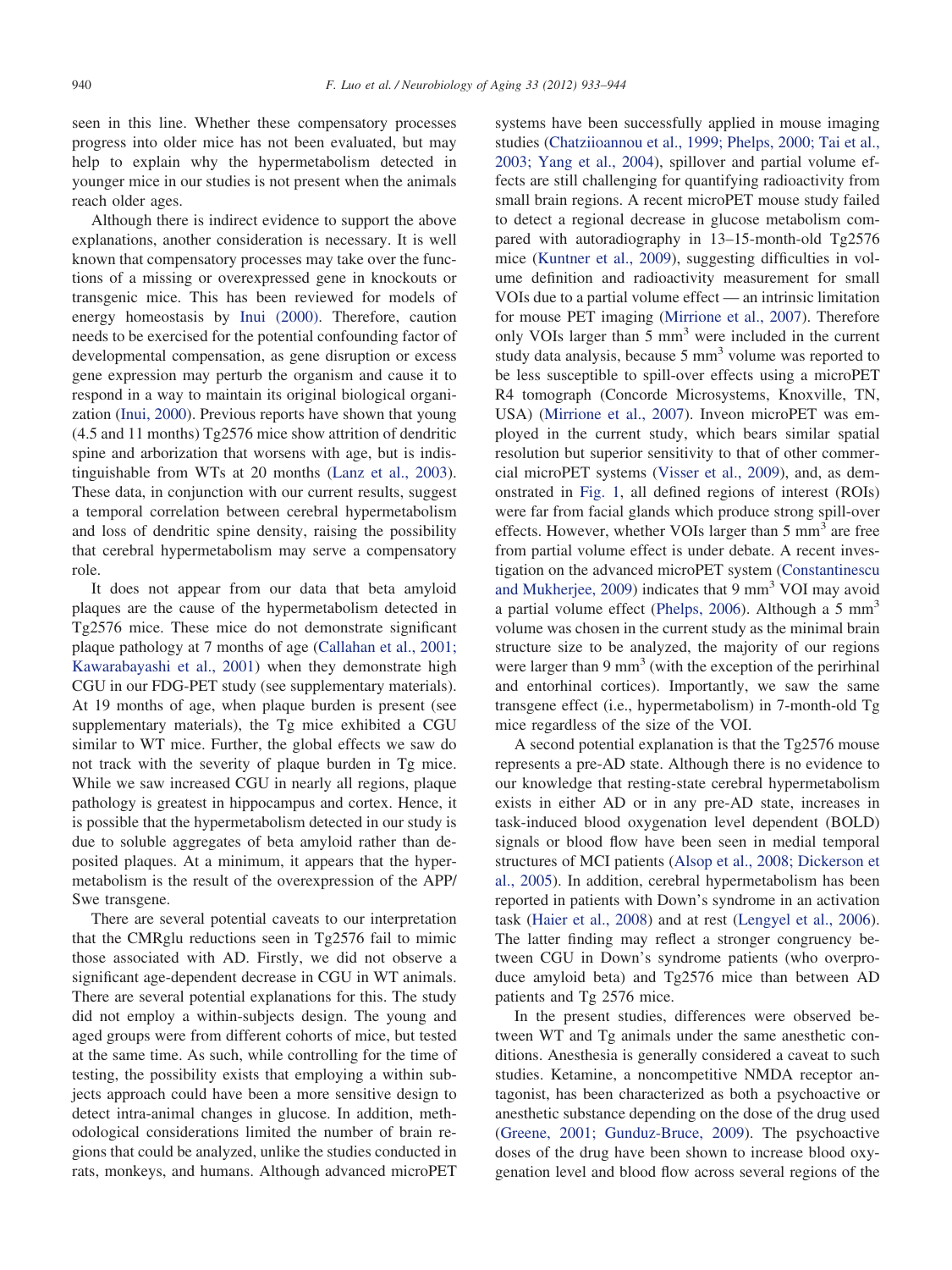seen in this line. Whether these compensatory processes progress into older mice has not been evaluated, but may help to explain why the hypermetabolism detected in younger mice in our studies is not present when the animals reach older ages.

Although there is indirect evidence to support the above explanations, another consideration is necessary. It is well known that compensatory processes may take over the functions of a missing or overexpressed gene in knockouts or transgenic mice. This has been reviewed for models of energy homeostasis by [Inui \(2000\).](#page-9-21) Therefore, caution needs to be exercised for the potential confounding factor of developmental compensation, as gene disruption or excess gene expression may perturb the organism and cause it to respond in a way to maintain its original biological organization [\(Inui, 2000\)](#page-9-21). Previous reports have shown that young (4.5 and 11 months) Tg2576 mice show attrition of dendritic spine and arborization that worsens with age, but is indistinguishable from WTs at 20 months [\(Lanz et al., 2003\)](#page-10-21). These data, in conjunction with our current results, suggest a temporal correlation between cerebral hypermetabolism and loss of dendritic spine density, raising the possibility that cerebral hypermetabolism may serve a compensatory role.

It does not appear from our data that beta amyloid plaques are the cause of the hypermetabolism detected in Tg2576 mice. These mice do not demonstrate significant plaque pathology at 7 months of age [\(Callahan et al., 2001;](#page-9-22) [Kawarabayashi et al., 2001\)](#page-9-22) when they demonstrate high CGU in our FDG-PET study (see supplementary materials). At 19 months of age, when plaque burden is present (see supplementary materials), the Tg mice exhibited a CGU similar to WT mice. Further, the global effects we saw do not track with the severity of plaque burden in Tg mice. While we saw increased CGU in nearly all regions, plaque pathology is greatest in hippocampus and cortex. Hence, it is possible that the hypermetabolism detected in our study is due to soluble aggregates of beta amyloid rather than deposited plaques. At a minimum, it appears that the hypermetabolism is the result of the overexpression of the APP/ Swe transgene.

There are several potential caveats to our interpretation that the CMRglu reductions seen in Tg2576 fail to mimic those associated with AD. Firstly, we did not observe a significant age-dependent decrease in CGU in WT animals. There are several potential explanations for this. The study did not employ a within-subjects design. The young and aged groups were from different cohorts of mice, but tested at the same time. As such, while controlling for the time of testing, the possibility exists that employing a within subjects approach could have been a more sensitive design to detect intra-animal changes in glucose. In addition, methodological considerations limited the number of brain regions that could be analyzed, unlike the studies conducted in rats, monkeys, and humans. Although advanced microPET

systems have been successfully applied in mouse imaging studies [\(Chatziioannou et al., 1999; Phelps, 2000; Tai et al.,](#page-9-23) [2003; Yang et al., 2004\)](#page-9-23), spillover and partial volume effects are still challenging for quantifying radioactivity from small brain regions. A recent microPET mouse study failed to detect a regional decrease in glucose metabolism compared with autoradiography in 13–15-month-old Tg2576 mice [\(Kuntner et al., 2009\)](#page-10-12), suggesting difficulties in volume definition and radioactivity measurement for small VOIs due to a partial volume effect — an intrinsic limitation for mouse PET imaging [\(Mirrione et al., 2007\)](#page-10-14). Therefore only VOIs larger than 5 mm<sup>3</sup> were included in the current study data analysis, because  $5 \text{ mm}^3$  volume was reported to be less susceptible to spill-over effects using a microPET R4 tomograph (Concorde Microsystems, Knoxville, TN, USA) [\(Mirrione et al., 2007\)](#page-10-14). Inveon microPET was employed in the current study, which bears similar spatial resolution but superior sensitivity to that of other commercial microPET systems [\(Visser et al., 2009\)](#page-11-4), and, as demonstrated in [Fig. 1,](#page-3-0) all defined regions of interest (ROIs) were far from facial glands which produce strong spill-over effects. However, whether VOIs larger than  $5 \text{ mm}^3$  are free from partial volume effect is under debate. A recent investigation on the advanced microPET system [\(Constantinescu](#page-9-6) [and Mukherjee, 2009\)](#page-9-6) indicates that 9 mm<sup>3</sup> VOI may avoid a partial volume effect [\(Phelps, 2006\)](#page-10-22). Although a 5  $mm<sup>3</sup>$ volume was chosen in the current study as the minimal brain structure size to be analyzed, the majority of our regions were larger than  $9 \text{ mm}^3$  (with the exception of the perirhinal and entorhinal cortices). Importantly, we saw the same transgene effect (i.e., hypermetabolism) in 7-month-old Tg mice regardless of the size of the VOI.

A second potential explanation is that the Tg2576 mouse represents a pre-AD state. Although there is no evidence to our knowledge that resting-state cerebral hypermetabolism exists in either AD or in any pre-AD state, increases in task-induced blood oxygenation level dependent (BOLD) signals or blood flow have been seen in medial temporal structures of MCI patients [\(Alsop et al., 2008; Dickerson et](#page-9-24) [al., 2005\)](#page-9-24). In addition, cerebral hypermetabolism has been reported in patients with Down's syndrome in an activation task [\(Haier et al., 2008\)](#page-9-25) and at rest [\(Lengyel et al., 2006\)](#page-10-23). The latter finding may reflect a stronger congruency between CGU in Down's syndrome patients (who overproduce amyloid beta) and Tg2576 mice than between AD patients and Tg 2576 mice.

In the present studies, differences were observed between WT and Tg animals under the same anesthetic conditions. Anesthesia is generally considered a caveat to such studies. Ketamine, a noncompetitive NMDA receptor antagonist, has been characterized as both a psychoactive or anesthetic substance depending on the dose of the drug used [\(Greene, 2001; Gunduz-Bruce, 2009\)](#page-9-26). The psychoactive doses of the drug have been shown to increase blood oxygenation level and blood flow across several regions of the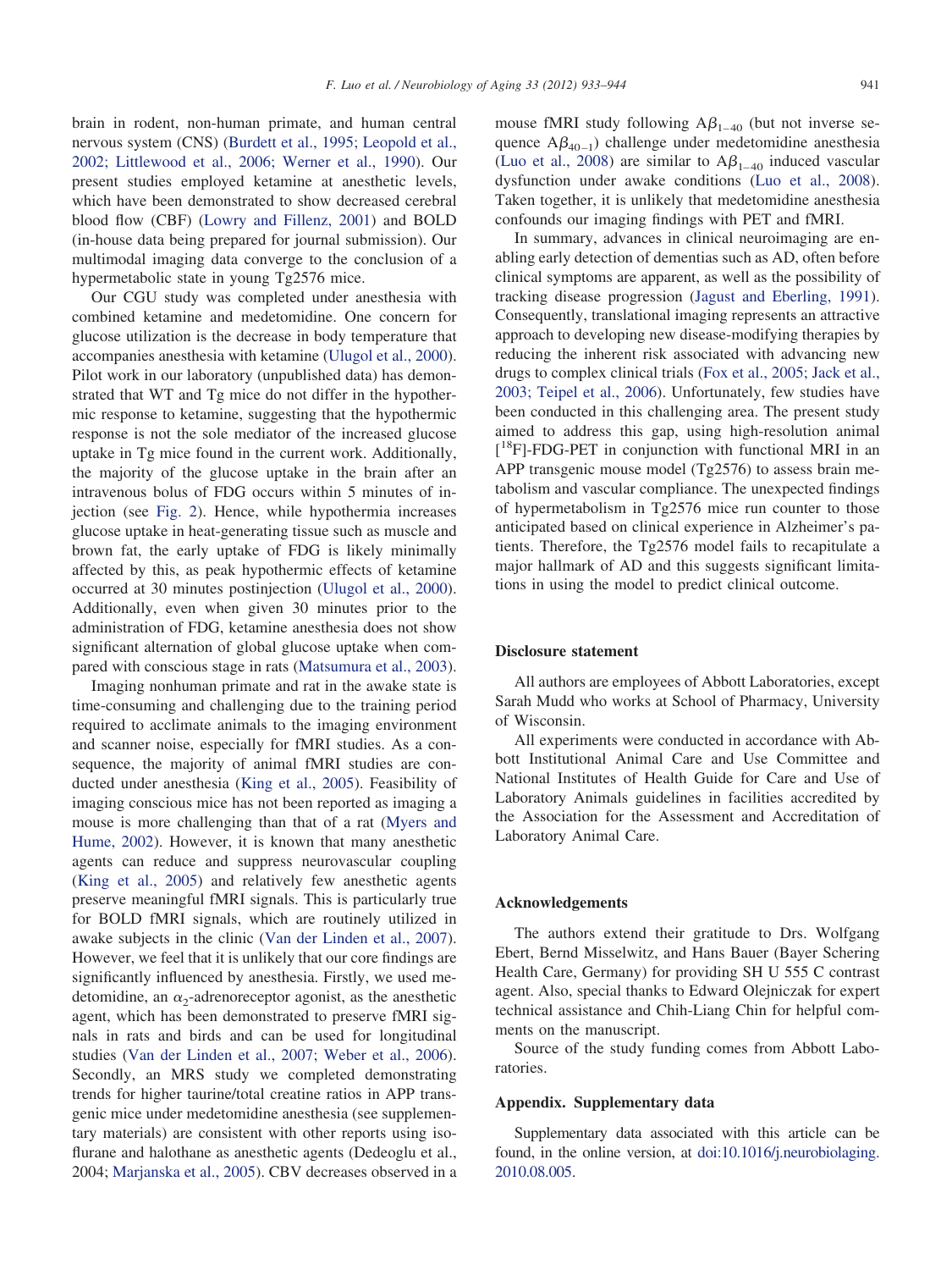brain in rodent, non-human primate, and human central nervous system (CNS) [\(Burdett et al., 1995; Leopold et al.,](#page-9-27) [2002; Littlewood et al., 2006; Werner et al., 1990\)](#page-9-27). Our present studies employed ketamine at anesthetic levels, which have been demonstrated to show decreased cerebral blood flow (CBF) [\(Lowry and Fillenz, 2001\)](#page-10-24) and BOLD (in-house data being prepared for journal submission). Our multimodal imaging data converge to the conclusion of a hypermetabolic state in young Tg2576 mice.

Our CGU study was completed under anesthesia with combined ketamine and medetomidine. One concern for glucose utilization is the decrease in body temperature that accompanies anesthesia with ketamine [\(Ulugol et al., 2000\)](#page-11-6). Pilot work in our laboratory (unpublished data) has demonstrated that WT and Tg mice do not differ in the hypothermic response to ketamine, suggesting that the hypothermic response is not the sole mediator of the increased glucose uptake in Tg mice found in the current work. Additionally, the majority of the glucose uptake in the brain after an intravenous bolus of FDG occurs within 5 minutes of injection (see [Fig. 2\)](#page-4-0). Hence, while hypothermia increases glucose uptake in heat-generating tissue such as muscle and brown fat, the early uptake of FDG is likely minimally affected by this, as peak hypothermic effects of ketamine occurred at 30 minutes postinjection [\(Ulugol et al., 2000\)](#page-11-6). Additionally, even when given 30 minutes prior to the administration of FDG, ketamine anesthesia does not show significant alternation of global glucose uptake when compared with conscious stage in rats [\(Matsumura et al., 2003\)](#page-10-25).

Imaging nonhuman primate and rat in the awake state is time-consuming and challenging due to the training period required to acclimate animals to the imaging environment and scanner noise, especially for fMRI studies. As a consequence, the majority of animal fMRI studies are conducted under anesthesia [\(King et al., 2005\)](#page-9-28). Feasibility of imaging conscious mice has not been reported as imaging a mouse is more challenging than that of a rat [\(Myers and](#page-10-26) [Hume, 2002\)](#page-10-26). However, it is known that many anesthetic agents can reduce and suppress neurovascular coupling [\(King et al., 2005\)](#page-9-28) and relatively few anesthetic agents preserve meaningful fMRI signals. This is particularly true for BOLD fMRI signals, which are routinely utilized in awake subjects in the clinic [\(Van der Linden et al., 2007\)](#page-11-7). However, we feel that it is unlikely that our core findings are significantly influenced by anesthesia. Firstly, we used medetomidine, an  $\alpha_2$ -adrenoreceptor agonist, as the anesthetic agent, which has been demonstrated to preserve fMRI signals in rats and birds and can be used for longitudinal studies [\(Van der Linden et al., 2007; Weber et al., 2006\)](#page-11-7). Secondly, an MRS study we completed demonstrating trends for higher taurine/total creatine ratios in APP transgenic mice under medetomidine anesthesia (see supplementary materials) are consistent with other reports using isoflurane and halothane as anesthetic agents (Dedeoglu et al., 2004; [Marjanska et al., 2005\)](#page-10-11). CBV decreases observed in a mouse fMRI study following  $A\beta_{1-40}$  (but not inverse sequence  $A\beta_{40-1}$ ) challenge under medetomidine anesthesia [\(Luo et al., 2008\)](#page-10-27) are similar to  $A\beta_{1-40}$  induced vascular dysfunction under awake conditions [\(Luo et al., 2008\)](#page-10-27). Taken together, it is unlikely that medetomidine anesthesia confounds our imaging findings with PET and fMRI.

In summary, advances in clinical neuroimaging are enabling early detection of dementias such as AD, often before clinical symptoms are apparent, as well as the possibility of tracking disease progression [\(Jagust and Eberling, 1991\)](#page-9-29). Consequently, translational imaging represents an attractive approach to developing new disease-modifying therapies by reducing the inherent risk associated with advancing new drugs to complex clinical trials [\(Fox et al., 2005; Jack et al.,](#page-9-30) [2003; Teipel et al., 2006\)](#page-9-30). Unfortunately, few studies have been conducted in this challenging area. The present study aimed to address this gap, using high-resolution animal [ 18F]-FDG-PET in conjunction with functional MRI in an APP transgenic mouse model (Tg2576) to assess brain metabolism and vascular compliance. The unexpected findings of hypermetabolism in Tg2576 mice run counter to those anticipated based on clinical experience in Alzheimer's patients. Therefore, the Tg2576 model fails to recapitulate a major hallmark of AD and this suggests significant limitations in using the model to predict clinical outcome.

## **Disclosure statement**

All authors are employees of Abbott Laboratories, except Sarah Mudd who works at School of Pharmacy, University of Wisconsin.

All experiments were conducted in accordance with Abbott Institutional Animal Care and Use Committee and National Institutes of Health Guide for Care and Use of Laboratory Animals guidelines in facilities accredited by the Association for the Assessment and Accreditation of Laboratory Animal Care.

#### **Acknowledgements**

The authors extend their gratitude to Drs. Wolfgang Ebert, Bernd Misselwitz, and Hans Bauer (Bayer Schering Health Care, Germany) for providing SH U 555 C contrast agent. Also, special thanks to Edward Olejniczak for expert technical assistance and Chih-Liang Chin for helpful comments on the manuscript.

Source of the study funding comes from Abbott Laboratories.

# **Appendix. Supplementary data**

Supplementary data associated with this article can be found, in the online version, at [doi:10.1016/j.neurobiolaging.](http://dx.doi.org/10.1016/j.neurobiolaging.2010.08.005) [2010.08.005.](http://dx.doi.org/10.1016/j.neurobiolaging.2010.08.005)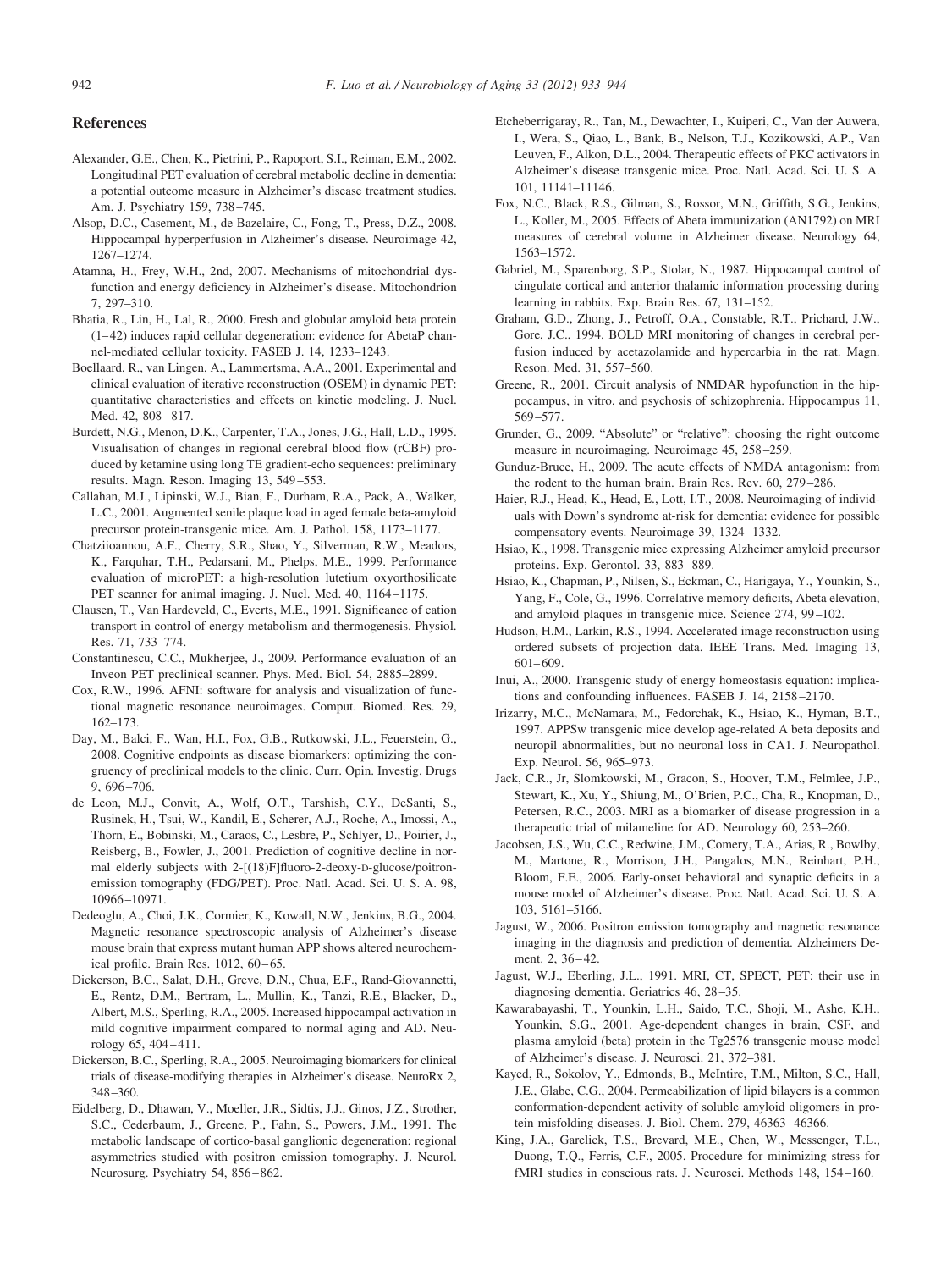## <span id="page-9-9"></span>**References**

- <span id="page-9-3"></span>Alexander, G.E., Chen, K., Pietrini, P., Rapoport, S.I., Reiman, E.M., 2002. Longitudinal PET evaluation of cerebral metabolic decline in dementia: a potential outcome measure in Alzheimer's disease treatment studies. Am. J. Psychiatry 159, 738–745.
- <span id="page-9-24"></span>Alsop, D.C., Casement, M., de Bazelaire, C., Fong, T., Press, D.Z., 2008. Hippocampal hyperperfusion in Alzheimer's disease. Neuroimage 42, 1267–1274.
- <span id="page-9-17"></span>Atamna, H., Frey, W.H., 2nd, 2007. Mechanisms of mitochondrial dysfunction and energy deficiency in Alzheimer's disease. Mitochondrion 7, 297–310.
- <span id="page-9-16"></span>Bhatia, R., Lin, H., Lal, R., 2000. Fresh and globular amyloid beta protein (1–42) induces rapid cellular degeneration: evidence for AbetaP channel-mediated cellular toxicity. FASEB J. 14, 1233–1243.
- <span id="page-9-8"></span>Boellaard, R., van Lingen, A., Lammertsma, A.A., 2001. Experimental and clinical evaluation of iterative reconstruction (OSEM) in dynamic PET: quantitative characteristics and effects on kinetic modeling. J. Nucl. Med. 42, 808–817.
- <span id="page-9-27"></span>Burdett, N.G., Menon, D.K., Carpenter, T.A., Jones, J.G., Hall, L.D., 1995. Visualisation of changes in regional cerebral blood flow (rCBF) produced by ketamine using long TE gradient-echo sequences: preliminary results. Magn. Reson. Imaging 13, 549–553.
- <span id="page-9-22"></span>Callahan, M.J., Lipinski, W.J., Bian, F., Durham, R.A., Pack, A., Walker, L.C., 2001. Augmented senile plaque load in aged female beta-amyloid precursor protein-transgenic mice. Am. J. Pathol. 158, 1173–1177.
- <span id="page-9-23"></span>Chatziioannou, A.F., Cherry, S.R., Shao, Y., Silverman, R.W., Meadors, K., Farquhar, T.H., Pedarsani, M., Phelps, M.E., 1999. Performance evaluation of microPET: a high-resolution lutetium oxyorthosilicate PET scanner for animal imaging. J. Nucl. Med. 40, 1164–1175.
- <span id="page-9-18"></span>Clausen, T., Van Hardeveld, C., Everts, M.E., 1991. Significance of cation transport in control of energy metabolism and thermogenesis. Physiol. Res. 71, 733–774.
- <span id="page-9-6"></span>Constantinescu, C.C., Mukherjee, J., 2009. Performance evaluation of an Inveon PET preclinical scanner. Phys. Med. Biol. 54, 2885–2899.
- <span id="page-9-11"></span>Cox, R.W., 1996. AFNI: software for analysis and visualization of functional magnetic resonance neuroimages. Comput. Biomed. Res. 29, 162–173.
- <span id="page-9-0"></span>Day, M., Balci, F., Wan, H.I., Fox, G.B., Rutkowski, J.L., Feuerstein, G., 2008. Cognitive endpoints as disease biomarkers: optimizing the congruency of preclinical models to the clinic. Curr. Opin. Investig. Drugs 9, 696–706.
- <span id="page-9-2"></span>de Leon, M.J., Convit, A., Wolf, O.T., Tarshish, C.Y., DeSanti, S., Rusinek, H., Tsui, W., Kandil, E., Scherer, A.J., Roche, A., Imossi, A., Thorn, E., Bobinski, M., Caraos, C., Lesbre, P., Schlyer, D., Poirier, J., Reisberg, B., Fowler, J., 2001. Prediction of cognitive decline in normal elderly subjects with 2-[(18)F]fluoro-2-deoxy-D-glucose/poitronemission tomography (FDG/PET). Proc. Natl. Acad. Sci. U. S. A. 98, 10966–10971.
- <span id="page-9-12"></span>Dedeoglu, A., Choi, J.K., Cormier, K., Kowall, N.W., Jenkins, B.G., 2004. Magnetic resonance spectroscopic analysis of Alzheimer's disease mouse brain that express mutant human APP shows altered neurochemical profile. Brain Res. 1012, 60–65.
- Dickerson, B.C., Salat, D.H., Greve, D.N., Chua, E.F., Rand-Giovannetti, E., Rentz, D.M., Bertram, L., Mullin, K., Tanzi, R.E., Blacker, D., Albert, M.S., Sperling, R.A., 2005. Increased hippocampal activation in mild cognitive impairment compared to normal aging and AD. Neurology 65, 404–411.
- Dickerson, B.C., Sperling, R.A., 2005. Neuroimaging biomarkers for clinical trials of disease-modifying therapies in Alzheimer's disease. NeuroRx 2, 348–360.
- <span id="page-9-20"></span>Eidelberg, D., Dhawan, V., Moeller, J.R., Sidtis, J.J., Ginos, J.Z., Strother, S.C., Cederbaum, J., Greene, P., Fahn, S., Powers, J.M., 1991. The metabolic landscape of cortico-basal ganglionic degeneration: regional asymmetries studied with positron emission tomography. J. Neurol. Neurosurg. Psychiatry 54, 856–862.
- <span id="page-9-19"></span>Etcheberrigaray, R., Tan, M., Dewachter, I., Kuiperi, C., Van der Auwera, I., Wera, S., Qiao, L., Bank, B., Nelson, T.J., Kozikowski, A.P., Van Leuven, F., Alkon, D.L., 2004. Therapeutic effects of PKC activators in Alzheimer's disease transgenic mice. Proc. Natl. Acad. Sci. U. S. A. 101, 11141–11146.
- <span id="page-9-30"></span>Fox, N.C., Black, R.S., Gilman, S., Rossor, M.N., Griffith, S.G., Jenkins, L., Koller, M., 2005. Effects of Abeta immunization (AN1792) on MRI measures of cerebral volume in Alzheimer disease. Neurology 64, 1563–1572.
- <span id="page-9-13"></span>Gabriel, M., Sparenborg, S.P., Stolar, N., 1987. Hippocampal control of cingulate cortical and anterior thalamic information processing during learning in rabbits. Exp. Brain Res. 67, 131–152.
- <span id="page-9-10"></span>Graham, G.D., Zhong, J., Petroff, O.A., Constable, R.T., Prichard, J.W., Gore, J.C., 1994. BOLD MRI monitoring of changes in cerebral perfusion induced by acetazolamide and hypercarbia in the rat. Magn. Reson. Med. 31, 557–560.
- <span id="page-9-26"></span>Greene, R., 2001. Circuit analysis of NMDAR hypofunction in the hippocampus, in vitro, and psychosis of schizophrenia. Hippocampus 11, 569–577.
- <span id="page-9-14"></span>Grunder, G., 2009. "Absolute" or "relative": choosing the right outcome measure in neuroimaging. Neuroimage 45, 258–259.
- Gunduz-Bruce, H., 2009. The acute effects of NMDA antagonism: from the rodent to the human brain. Brain Res. Rev. 60, 279–286.
- <span id="page-9-25"></span>Haier, R.J., Head, K., Head, E., Lott, I.T., 2008. Neuroimaging of individuals with Down's syndrome at-risk for dementia: evidence for possible compensatory events. Neuroimage 39, 1324–1332.
- <span id="page-9-5"></span>Hsiao, K., 1998. Transgenic mice expressing Alzheimer amyloid precursor proteins. Exp. Gerontol. 33, 883–889.
- <span id="page-9-4"></span>Hsiao, K., Chapman, P., Nilsen, S., Eckman, C., Harigaya, Y., Younkin, S., Yang, F., Cole, G., 1996. Correlative memory deficits, Abeta elevation, and amyloid plaques in transgenic mice. Science 274, 99–102.
- <span id="page-9-7"></span>Hudson, H.M., Larkin, R.S., 1994. Accelerated image reconstruction using ordered subsets of projection data. IEEE Trans. Med. Imaging 13, 601–609.
- <span id="page-9-21"></span>Inui, A., 2000. Transgenic study of energy homeostasis equation: implications and confounding influences. FASEB J. 14, 2158–2170.
- Irizarry, M.C., McNamara, M., Fedorchak, K., Hsiao, K., Hyman, B.T., 1997. APPSw transgenic mice develop age-related A beta deposits and neuropil abnormalities, but no neuronal loss in CA1. J. Neuropathol. Exp. Neurol. 56, 965–973.
- Jack, C.R., Jr, Slomkowski, M., Gracon, S., Hoover, T.M., Felmlee, J.P., Stewart, K., Xu, Y., Shiung, M., O'Brien, P.C., Cha, R., Knopman, D., Petersen, R.C., 2003. MRI as a biomarker of disease progression in a therapeutic trial of milameline for AD. Neurology 60, 253–260.
- Jacobsen, J.S., Wu, C.C., Redwine, J.M., Comery, T.A., Arias, R., Bowlby, M., Martone, R., Morrison, J.H., Pangalos, M.N., Reinhart, P.H., Bloom, F.E., 2006. Early-onset behavioral and synaptic deficits in a mouse model of Alzheimer's disease. Proc. Natl. Acad. Sci. U. S. A. 103, 5161–5166.
- <span id="page-9-1"></span>Jagust, W., 2006. Positron emission tomography and magnetic resonance imaging in the diagnosis and prediction of dementia. Alzheimers Dement. 2, 36–42.
- <span id="page-9-29"></span>Jagust, W.J., Eberling, J.L., 1991. MRI, CT, SPECT, PET: their use in diagnosing dementia. Geriatrics 46, 28–35.
- Kawarabayashi, T., Younkin, L.H., Saido, T.C., Shoji, M., Ashe, K.H., Younkin, S.G., 2001. Age-dependent changes in brain, CSF, and plasma amyloid (beta) protein in the Tg2576 transgenic mouse model of Alzheimer's disease. J. Neurosci. 21, 372–381.
- <span id="page-9-15"></span>Kayed, R., Sokolov, Y., Edmonds, B., McIntire, T.M., Milton, S.C., Hall, J.E., Glabe, C.G., 2004. Permeabilization of lipid bilayers is a common conformation-dependent activity of soluble amyloid oligomers in protein misfolding diseases. J. Biol. Chem. 279, 46363–46366.
- <span id="page-9-28"></span>King, J.A., Garelick, T.S., Brevard, M.E., Chen, W., Messenger, T.L., Duong, T.Q., Ferris, C.F., 2005. Procedure for minimizing stress for fMRI studies in conscious rats. J. Neurosci. Methods 148, 154–160.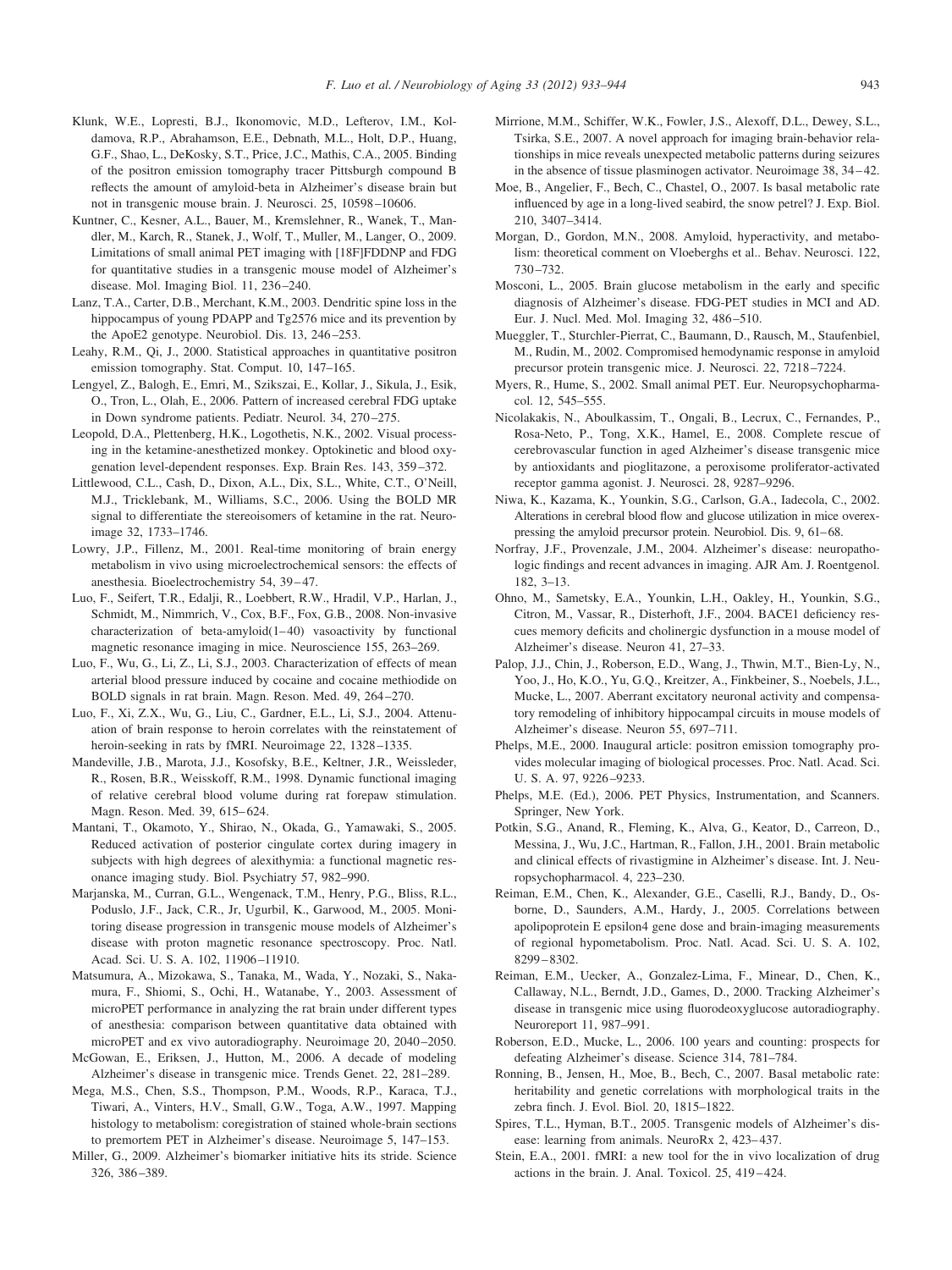- Klunk, W.E., Lopresti, B.J., Ikonomovic, M.D., Lefterov, I.M., Koldamova, R.P., Abrahamson, E.E., Debnath, M.L., Holt, D.P., Huang, G.F., Shao, L., DeKosky, S.T., Price, J.C., Mathis, C.A., 2005. Binding of the positron emission tomography tracer Pittsburgh compound B reflects the amount of amyloid-beta in Alzheimer's disease brain but not in transgenic mouse brain. J. Neurosci. 25, 10598–10606.
- <span id="page-10-12"></span>Kuntner, C., Kesner, A.L., Bauer, M., Kremslehner, R., Wanek, T., Mandler, M., Karch, R., Stanek, J., Wolf, T., Muller, M., Langer, O., 2009. Limitations of small animal PET imaging with [18F]FDDNP and FDG for quantitative studies in a transgenic mouse model of Alzheimer's disease. Mol. Imaging Biol. 11, 236–240.
- <span id="page-10-21"></span>Lanz, T.A., Carter, D.B., Merchant, K.M., 2003. Dendritic spine loss in the hippocampus of young PDAPP and Tg2576 mice and its prevention by the ApoE2 genotype. Neurobiol. Dis. 13, 246–253.
- <span id="page-10-7"></span>Leahy, R.M., Qi, J., 2000. Statistical approaches in quantitative positron emission tomography. Stat. Comput. 10, 147–165.
- <span id="page-10-23"></span>Lengyel, Z., Balogh, E., Emri, M., Szikszai, E., Kollar, J., Sikula, J., Esik, O., Tron, L., Olah, E., 2006. Pattern of increased cerebral FDG uptake in Down syndrome patients. Pediatr. Neurol. 34, 270–275.
- Leopold, D.A., Plettenberg, H.K., Logothetis, N.K., 2002. Visual processing in the ketamine-anesthetized monkey. Optokinetic and blood oxygenation level-dependent responses. Exp. Brain Res. 143, 359–372.
- Littlewood, C.L., Cash, D., Dixon, A.L., Dix, S.L., White, C.T., O'Neill, M.J., Tricklebank, M., Williams, S.C., 2006. Using the BOLD MR signal to differentiate the stereoisomers of ketamine in the rat. Neuroimage 32, 1733–1746.
- <span id="page-10-24"></span>Lowry, J.P., Fillenz, M., 2001. Real-time monitoring of brain energy metabolism in vivo using microelectrochemical sensors: the effects of anesthesia. Bioelectrochemistry 54, 39–47.
- <span id="page-10-27"></span>Luo, F., Seifert, T.R., Edalji, R., Loebbert, R.W., Hradil, V.P., Harlan, J., Schmidt, M., Nimmrich, V., Cox, B.F., Fox, G.B., 2008. Non-invasive characterization of beta-amyloid(1–40) vasoactivity by functional magnetic resonance imaging in mice. Neuroscience 155, 263–269.
- <span id="page-10-10"></span>Luo, F., Wu, G., Li, Z., Li, S.J., 2003. Characterization of effects of mean arterial blood pressure induced by cocaine and cocaine methiodide on BOLD signals in rat brain. Magn. Reson. Med. 49, 264–270.
- <span id="page-10-9"></span>Luo, F., Xi, Z.X., Wu, G., Liu, C., Gardner, E.L., Li, S.J., 2004. Attenuation of brain response to heroin correlates with the reinstatement of heroin-seeking in rats by fMRI. Neuroimage 22, 1328–1335.
- <span id="page-10-8"></span>Mandeville, J.B., Marota, J.J., Kosofsky, B.E., Keltner, J.R., Weissleder, R., Rosen, B.R., Weisskoff, R.M., 1998. Dynamic functional imaging of relative cerebral blood volume during rat forepaw stimulation. Magn. Reson. Med. 39, 615–624.
- <span id="page-10-16"></span>Mantani, T., Okamoto, Y., Shirao, N., Okada, G., Yamawaki, S., 2005. Reduced activation of posterior cingulate cortex during imagery in subjects with high degrees of alexithymia: a functional magnetic resonance imaging study. Biol. Psychiatry 57, 982–990.
- <span id="page-10-11"></span>Marjanska, M., Curran, G.L., Wengenack, T.M., Henry, P.G., Bliss, R.L., Poduslo, J.F., Jack, C.R., Jr, Ugurbil, K., Garwood, M., 2005. Monitoring disease progression in transgenic mouse models of Alzheimer's disease with proton magnetic resonance spectroscopy. Proc. Natl. Acad. Sci. U. S. A. 102, 11906–11910.
- <span id="page-10-25"></span>Matsumura, A., Mizokawa, S., Tanaka, M., Wada, Y., Nozaki, S., Nakamura, F., Shiomi, S., Ochi, H., Watanabe, Y., 2003. Assessment of microPET performance in analyzing the rat brain under different types of anesthesia: comparison between quantitative data obtained with microPET and ex vivo autoradiography. Neuroimage 20, 2040–2050.
- <span id="page-10-5"></span>McGowan, E., Eriksen, J., Hutton, M., 2006. A decade of modeling Alzheimer's disease in transgenic mice. Trends Genet. 22, 281–289.
- <span id="page-10-3"></span>Mega, M.S., Chen, S.S., Thompson, P.M., Woods, R.P., Karaca, T.J., Tiwari, A., Vinters, H.V., Small, G.W., Toga, A.W., 1997. Mapping histology to metabolism: coregistration of stained whole-brain sections to premortem PET in Alzheimer's disease. Neuroimage 5, 147–153.
- <span id="page-10-0"></span>Miller, G., 2009. Alzheimer's biomarker initiative hits its stride. Science 326, 386–389.
- <span id="page-10-14"></span>Mirrione, M.M., Schiffer, W.K., Fowler, J.S., Alexoff, D.L., Dewey, S.L., Tsirka, S.E., 2007. A novel approach for imaging brain-behavior relationships in mice reveals unexpected metabolic patterns during seizures in the absence of tissue plasminogen activator. Neuroimage 38, 34–42.
- Moe, B., Angelier, F., Bech, C., Chastel, O., 2007. Is basal metabolic rate influenced by age in a long-lived seabird, the snow petrel? J. Exp. Biol. 210, 3407–3414.
- <span id="page-10-18"></span>Morgan, D., Gordon, M.N., 2008. Amyloid, hyperactivity, and metabolism: theoretical comment on Vloeberghs et al.. Behav. Neurosci. 122, 730–732.
- Mosconi, L., 2005. Brain glucose metabolism in the early and specific diagnosis of Alzheimer's disease. FDG-PET studies in MCI and AD. Eur. J. Nucl. Med. Mol. Imaging 32, 486–510.
- <span id="page-10-6"></span>Mueggler, T., Sturchler-Pierrat, C., Baumann, D., Rausch, M., Staufenbiel, M., Rudin, M., 2002. Compromised hemodynamic response in amyloid precursor protein transgenic mice. J. Neurosci. 22, 7218–7224.
- <span id="page-10-26"></span>Myers, R., Hume, S., 2002. Small animal PET. Eur. Neuropsychopharmacol. 12, 545–555.
- <span id="page-10-17"></span>Nicolakakis, N., Aboulkassim, T., Ongali, B., Lecrux, C., Fernandes, P., Rosa-Neto, P., Tong, X.K., Hamel, E., 2008. Complete rescue of cerebrovascular function in aged Alzheimer's disease transgenic mice by antioxidants and pioglitazone, a peroxisome proliferator-activated receptor gamma agonist. J. Neurosci. 28, 9287–9296.
- <span id="page-10-13"></span>Niwa, K., Kazama, K., Younkin, S.G., Carlson, G.A., Iadecola, C., 2002. Alterations in cerebral blood flow and glucose utilization in mice overexpressing the amyloid precursor protein. Neurobiol. Dis. 9, 61–68.
- <span id="page-10-2"></span>Norfray, J.F., Provenzale, J.M., 2004. Alzheimer's disease: neuropathologic findings and recent advances in imaging. AJR Am. J. Roentgenol. 182, 3–13.
- <span id="page-10-19"></span>Ohno, M., Sametsky, E.A., Younkin, L.H., Oakley, H., Younkin, S.G., Citron, M., Vassar, R., Disterhoft, J.F., 2004. BACE1 deficiency rescues memory deficits and cholinergic dysfunction in a mouse model of Alzheimer's disease. Neuron 41, 27–33.
- <span id="page-10-20"></span>Palop, J.J., Chin, J., Roberson, E.D., Wang, J., Thwin, M.T., Bien-Ly, N., Yoo, J., Ho, K.O., Yu, G.Q., Kreitzer, A., Finkbeiner, S., Noebels, J.L., Mucke, L., 2007. Aberrant excitatory neuronal activity and compensatory remodeling of inhibitory hippocampal circuits in mouse models of Alzheimer's disease. Neuron 55, 697–711.
- Phelps, M.E., 2000. Inaugural article: positron emission tomography provides molecular imaging of biological processes. Proc. Natl. Acad. Sci. U. S. A. 97, 9226–9233.
- <span id="page-10-22"></span>Phelps, M.E. (Ed.), 2006. PET Physics, Instrumentation, and Scanners. Springer, New York.
- <span id="page-10-4"></span>Potkin, S.G., Anand, R., Fleming, K., Alva, G., Keator, D., Carreon, D., Messina, J., Wu, J.C., Hartman, R., Fallon, J.H., 2001. Brain metabolic and clinical effects of rivastigmine in Alzheimer's disease. Int. J. Neuropsychopharmacol. 4, 223–230.
- Reiman, E.M., Chen, K., Alexander, G.E., Caselli, R.J., Bandy, D., Osborne, D., Saunders, A.M., Hardy, J., 2005. Correlations between apolipoprotein E epsilon4 gene dose and brain-imaging measurements of regional hypometabolism. Proc. Natl. Acad. Sci. U. S. A. 102, 8299–8302.
- <span id="page-10-15"></span>Reiman, E.M., Uecker, A., Gonzalez-Lima, F., Minear, D., Chen, K., Callaway, N.L., Berndt, J.D., Games, D., 2000. Tracking Alzheimer's disease in transgenic mice using fluorodeoxyglucose autoradiography. Neuroreport 11, 987–991.
- <span id="page-10-1"></span>Roberson, E.D., Mucke, L., 2006. 100 years and counting: prospects for defeating Alzheimer's disease. Science 314, 781–784.
- Ronning, B., Jensen, H., Moe, B., Bech, C., 2007. Basal metabolic rate: heritability and genetic correlations with morphological traits in the zebra finch. J. Evol. Biol. 20, 1815–1822.
- Spires, T.L., Hyman, B.T., 2005. Transgenic models of Alzheimer's disease: learning from animals. NeuroRx 2, 423–437.
- Stein, E.A., 2001. fMRI: a new tool for the in vivo localization of drug actions in the brain. J. Anal. Toxicol. 25, 419–424.